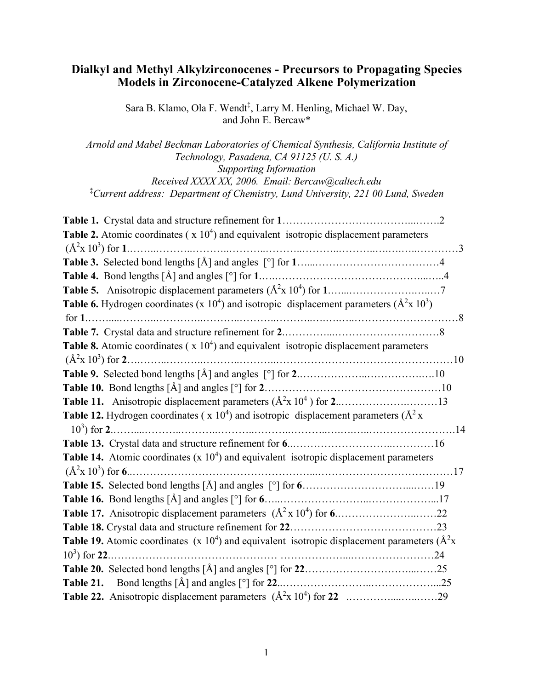# Dialkyl and Methyl Alkylzirconocenes - Precursors to Propagating Species Models in Zirconocene-Catalyzed Alkene Polymerization

Sara B. Klamo, Ola F. Wendt<sup>‡</sup>, Larry M. Henling, Michael W. Day, and John E. Bercaw\*

*Arnold and Mabel Beckman Laboratories of Chemical Synthesis, California Institute of Technology, Pasadena, CA 91125 (U. S. A.)*

*Supporting Information Received XXXX XX, 2006. Email: Bercaw@caltech.edu* ‡ *Current address: Department of Chemistry, Lund University, 221 00 Lund, Sweden*

| <b>Table 2.</b> Atomic coordinates ( $x 104$ ) and equivalent isotropic displacement parameters                                        |  |
|----------------------------------------------------------------------------------------------------------------------------------------|--|
|                                                                                                                                        |  |
|                                                                                                                                        |  |
|                                                                                                                                        |  |
|                                                                                                                                        |  |
| <b>Table 6.</b> Hydrogen coordinates (x 10 <sup>4</sup> ) and isotropic displacement parameters ( $\mathring{A}^2$ x 10 <sup>3</sup> ) |  |
|                                                                                                                                        |  |
|                                                                                                                                        |  |
| Table 8. Atomic coordinates ( $x 104$ ) and equivalent isotropic displacement parameters                                               |  |
|                                                                                                                                        |  |
|                                                                                                                                        |  |
|                                                                                                                                        |  |
|                                                                                                                                        |  |
| <b>Table 12.</b> Hydrogen coordinates ( $x 104$ ) and isotropic displacement parameters ( $A2x$ )                                      |  |
|                                                                                                                                        |  |
|                                                                                                                                        |  |
| <b>Table 14.</b> Atomic coordinates (x $104$ ) and equivalent isotropic displacement parameters                                        |  |
|                                                                                                                                        |  |
|                                                                                                                                        |  |
|                                                                                                                                        |  |
|                                                                                                                                        |  |
|                                                                                                                                        |  |
| <b>Table 19.</b> Atomic coordinates (x $10^4$ ) and equivalent isotropic displacement parameters ( $A^2x$ )                            |  |
| $10^3$ ) for 22.                                                                                                                       |  |
|                                                                                                                                        |  |
|                                                                                                                                        |  |
|                                                                                                                                        |  |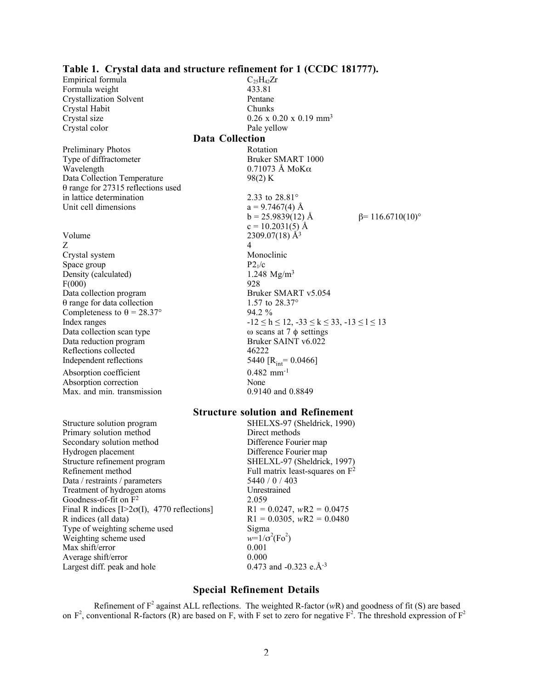|                                           | Table 1. Crystal data and structure refinement for 1 (CCDC 181777). |                         |
|-------------------------------------------|---------------------------------------------------------------------|-------------------------|
| Empirical formula                         | $C_{25}H_{42}Zr$                                                    |                         |
| Formula weight                            | 433.81                                                              |                         |
| <b>Crystallization Solvent</b>            | Pentane                                                             |                         |
| Crystal Habit                             | Chunks                                                              |                         |
| Crystal size                              | $0.26 \times 0.20 \times 0.19$ mm <sup>3</sup>                      |                         |
| Crystal color                             | Pale yellow                                                         |                         |
|                                           | <b>Data Collection</b>                                              |                         |
| <b>Preliminary Photos</b>                 | Rotation                                                            |                         |
| Type of diffractometer                    | Bruker SMART 1000                                                   |                         |
| Wavelength                                | $0.71073$ Å MoK $\alpha$                                            |                         |
| Data Collection Temperature               | 98(2) K                                                             |                         |
| $\theta$ range for 27315 reflections used |                                                                     |                         |
| in lattice determination                  | 2.33 to 28.81°                                                      |                         |
| Unit cell dimensions                      | $a = 9.7467(4)$ Å                                                   |                         |
|                                           | $b = 25.9839(12)$ Å                                                 | $\beta$ = 116.6710(10)° |
|                                           | $c = 10.2031(5)$ Å                                                  |                         |
| Volume                                    | $2309.07(18)$ Å <sup>3</sup>                                        |                         |
| Z                                         | $\overline{4}$                                                      |                         |
| Crystal system                            | Monoclinic                                                          |                         |
| Space group                               | P2 <sub>1</sub> /c                                                  |                         |
| Density (calculated)                      | 1.248 $Mg/m^3$                                                      |                         |
| F(000)                                    | 928                                                                 |                         |
| Data collection program                   | Bruker SMART v5.054                                                 |                         |
| $\theta$ range for data collection        | 1.57 to 28.37°                                                      |                         |
| Completeness to $\theta = 28.37^{\circ}$  | 94.2 %                                                              |                         |
| Index ranges                              | $-12 \le h \le 12$ , $-33 \le k \le 33$ , $-13 \le l \le 13$        |                         |
| Data collection scan type                 | ω scans at 7 $\phi$ settings                                        |                         |
| Data reduction program                    | Bruker SAINT v6.022                                                 |                         |
| Reflections collected                     | 46222                                                               |                         |
| Independent reflections                   | 5440 [ $R_{int}$ = 0.0466]                                          |                         |
| Absorption coefficient                    | $0.482$ mm <sup>-1</sup>                                            |                         |
| Absorption correction                     | None                                                                |                         |
| Max, and min. transmission                | 0.9140 and 0.8849                                                   |                         |
|                                           | <b>Structure solution and Refinement</b>                            |                         |
| Structure solution program                | SHELXS-97 (Sheldrick, 1990)                                         |                         |
|                                           |                                                                     |                         |

#### Primary solution method<br>Secondary solution method<br>Difference Fourier map Secondary solution method<br>Hydrogen placement Hydrogen placement<br>
Structure refinement program<br>
SHELXL-97 (Sheldrick Structure refinement program<br>
Refinement method<br>
Full matrix least-squares on F<sup>2</sup> Data / restraints / parameters Treatment of hydrogen atoms Unrestrained<br>
Goodness-of-fit on  $F^2$  2.059 Goodness-of-fit on  $\overline{F^2}$  2.059<br>Final R indices  $[I>2\sigma(I), 4770$  reflections <br>R1 = 0.0247, wR2 = 0.0475 Final R indices [I $>2\sigma$ (I), 4770 reflections] R indices (all data) Type of weighting scheme used Sigma Weighting scheme used *w*=1/c<br>Max shift/error 0.001 Max shift/error 0.001<br>Average shift/error 0.000 Average shift/error 0.000<br>Largest diff. peak and hole 0.473 and -0.323 e.Å<sup>-3</sup> Largest diff. peak and hole

# Full matrix least-squares on  $\overline{F}^2$ <br>5440 / 0 / 403  $R1 = 0.0305$ , *wR2* = 0.0480  $(Fo^2)$

#### Special Refinement Details

Refinement of  $F^2$  against ALL reflections. The weighted R-factor ( $wR$ ) and goodness of fit (S) are based on  $F^2$ , conventional R-factors (R) are based on F, with F set to zero for negative  $F^2$ . The threshold expression of  $F^2$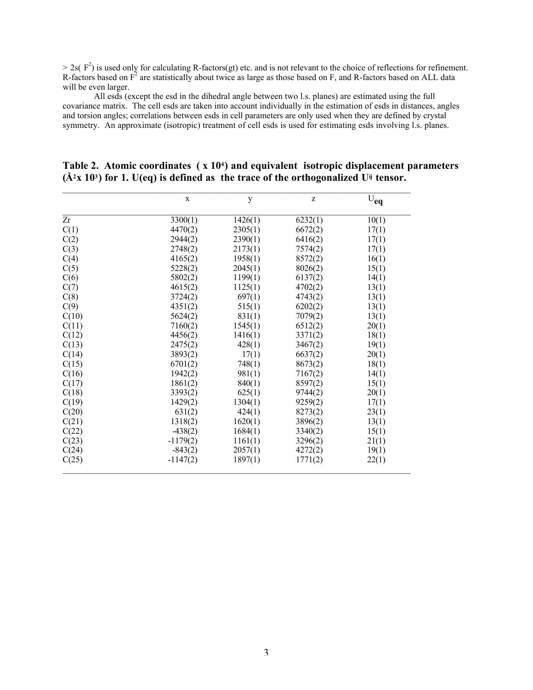$> 2s(F^2)$  is used only for calculating R-factors(gt) etc. and is not relevant to the choice of reflections for refinement. R-factors based on  $F^2$  are statistically about twice as large as those based on F, and R-factors based on ALL data will be even larger.

All esds (except the esd in the dihedral angle between two l.s. planes) are estimated using the full covariance matrix. The cell esds are taken into account individually in the estimation of esds in distances, angles and torsion angles; correlations between esds in cell parameters are only used when they are defined by crystal symmetry. An approximate (isotropic) treatment of cell esds is used for estimating esds involving l.s. planes.

|       | $\mathbf X$ |         | Z       |          |
|-------|-------------|---------|---------|----------|
|       |             | y       |         | $U_{eq}$ |
| Zr    | 3300(1)     | 1426(1) | 6232(1) | 10(1)    |
| C(1)  | 4470(2)     | 2305(1) | 6672(2) | 17(1)    |
| C(2)  | 2944(2)     | 2390(1) | 6416(2) | 17(1)    |
| C(3)  | 2748(2)     | 2173(1) | 7574(2) | 17(1)    |
| C(4)  | 4165(2)     | 1958(1) | 8572(2) | 16(1)    |
| C(5)  | 5228(2)     | 2045(1) | 8026(2) | 15(1)    |
| C(6)  | 5802(2)     | 1199(1) | 6137(2) | 14(1)    |
| C(7)  | 4615(2)     | 1125(1) | 4702(2) | 13(1)    |
| C(8)  | 3724(2)     | 697(1)  | 4743(2) | 13(1)    |
| C(9)  | 4351(2)     | 515(1)  | 6202(2) | 13(1)    |
| C(10) | 5624(2)     | 831(1)  | 7079(2) | 13(1)    |
| C(11) | 7160(2)     | 1545(1) | 6512(2) | 20(1)    |
| C(12) | 4456(2)     | 1416(1) | 3371(2) | 18(1)    |
| C(13) | 2475(2)     | 428(1)  | 3467(2) | 19(1)    |
| C(14) | 3893(2)     | 17(1)   | 6637(2) | 20(1)    |
| C(15) | 6701(2)     | 748(1)  | 8673(2) | 18(1)    |
| C(16) | 1942(2)     | 981(1)  | 7167(2) | 14(1)    |
| C(17) | 1861(2)     | 840(1)  | 8597(2) | 15(1)    |
| C(18) | 3393(2)     | 625(1)  | 9744(2) | 20(1)    |
| C(19) | 1429(2)     | 1304(1) | 9259(2) | 17(1)    |
| C(20) | 631(2)      | 424(1)  | 8273(2) | 23(1)    |
| C(21) | 1318(2)     | 1620(1) | 3896(2) | 13(1)    |
| C(22) | $-438(2)$   | 1684(1) | 3340(2) | 15(1)    |
| C(23) | $-1179(2)$  | 1161(1) | 3296(2) | 21(1)    |
| C(24) | $-843(2)$   | 2057(1) | 4272(2) | 19(1)    |
| C(25) | $-1147(2)$  | 1897(1) | 1771(2) | 22(1)    |

#### Table 2. Atomic coordinates ( x 104) and equivalent isotropic displacement parameters  $(\AA^2 X 10^3)$  for 1. U(eq) is defined as the trace of the orthogonalized U<sup>ij</sup> tensor.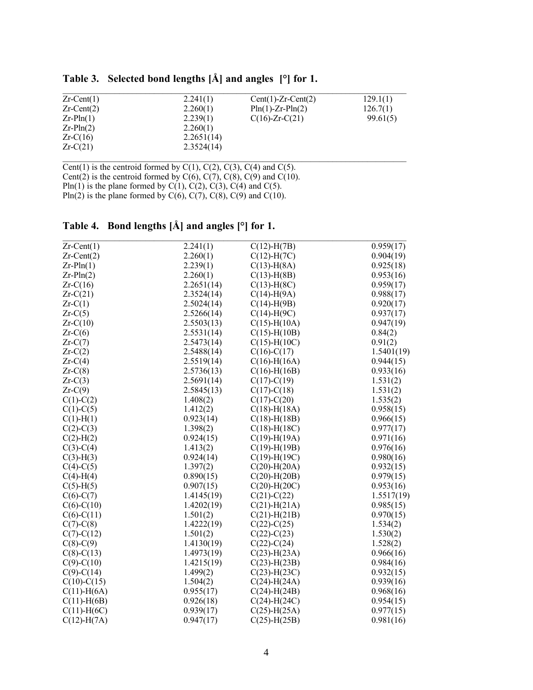| $Zr$ -Cent(1)    | 2.241(1)   | $Cent(1)-Zr-Cent(2)$ | 129.1(1) |
|------------------|------------|----------------------|----------|
| $Zr$ -Cent $(2)$ | 2.260(1)   | $PIn(1)-Zr-PIn(2)$   | 126.7(1) |
| $Zr-Pln(1)$      | 2.239(1)   | $C(16)$ -Zr- $C(21)$ | 99.61(5) |
| $Zr-Pln(2)$      | 2.260(1)   |                      |          |
| $Zr-C(16)$       | 2.2651(14) |                      |          |
| $Zr-C(21)$       | 2.3524(14) |                      |          |

Table 3. Selected bond lengths [Å] and angles [°] for 1.

Cent(1) is the centroid formed by  $C(1)$ ,  $C(2)$ ,  $C(3)$ ,  $C(4)$  and  $C(5)$ . Cent(2) is the centroid formed by  $C(6)$ ,  $C(7)$ ,  $C(8)$ ,  $C(9)$  and  $C(10)$ . Pln(1) is the plane formed by C(1),  $\tilde{C}(2)$ ,  $\tilde{C}(3)$ ,  $\tilde{C}(4)$  and C(5). Pln(2) is the plane formed by  $C(6)$ ,  $C(7)$ ,  $C(8)$ ,  $C(9)$  and  $C(10)$ .

| $Zr$ -Cent $(1)$  | 2.241(1)   | $C(12)$ -H $(7B)$  | 0.959(17)  |
|-------------------|------------|--------------------|------------|
| $Zr$ -Cent $(2)$  | 2.260(1)   | $C(12)$ -H $(7C)$  | 0.904(19)  |
| $Zr-Pln(1)$       | 2.239(1)   | $C(13)$ -H(8A)     | 0.925(18)  |
| $Zr-Pln(2)$       | 2.260(1)   | $C(13)$ -H(8B)     | 0.953(16)  |
| $Zr-C(16)$        | 2.2651(14) | $C(13)$ -H(8C)     | 0.959(17)  |
| $Zr-C(21)$        | 2.3524(14) | $C(14)$ -H(9A)     | 0.988(17)  |
| $Zr-C(1)$         | 2.5024(14) | $C(14)$ -H(9B)     | 0.920(17)  |
| $Zr-C(5)$         | 2.5266(14) | $C(14)-H(9C)$      | 0.937(17)  |
| $Zr-C(10)$        | 2.5503(13) | $C(15)$ -H(10A)    | 0.947(19)  |
| $Zr-C(6)$         | 2.5531(14) | $C(15)$ -H(10B)    | 0.84(2)    |
| $Zr-C(7)$         | 2.5473(14) | $C(15)$ -H $(10C)$ | 0.91(2)    |
| $Zr-C(2)$         | 2.5488(14) | $C(16)-C(17)$      | 1.5401(19) |
| $Zr-C(4)$         | 2.5519(14) | $C(16) - H(16A)$   | 0.944(15)  |
| $Zr-C(8)$         | 2.5736(13) | $C(16)$ -H $(16B)$ | 0.933(16)  |
| $Zr-C(3)$         | 2.5691(14) | $C(17)-C(19)$      | 1.531(2)   |
| $Zr-C(9)$         | 2.5845(13) | $C(17) - C(18)$    | 1.531(2)   |
| $C(1)-C(2)$       | 1.408(2)   | $C(17) - C(20)$    | 1.535(2)   |
| $C(1)-C(5)$       | 1.412(2)   | $C(18) - H(18A)$   | 0.958(15)  |
| $C(1)$ -H(1)      | 0.923(14)  | $C(18)$ -H $(18B)$ | 0.966(15)  |
| $C(2)-C(3)$       | 1.398(2)   | $C(18)$ -H $(18C)$ | 0.977(17)  |
| $C(2)$ -H $(2)$   | 0.924(15)  | $C(19) - H(19A)$   | 0.971(16)  |
| $C(3)-C(4)$       | 1.413(2)   | $C(19)$ -H(19B)    | 0.976(16)  |
| $C(3)-H(3)$       | 0.924(14)  | $C(19)$ -H(19C)    | 0.980(16)  |
| $C(4)-C(5)$       | 1.397(2)   | $C(20)$ -H $(20A)$ | 0.932(15)  |
| $C(4)-H(4)$       | 0.890(15)  | $C(20)$ -H $(20B)$ | 0.979(15)  |
| $C(5)-H(5)$       | 0.907(15)  | $C(20)$ -H $(20C)$ | 0.953(16)  |
| $C(6)-C(7)$       | 1.4145(19) | $C(21)-C(22)$      | 1.5517(19) |
| $C(6)-C(10)$      | 1.4202(19) | $C(21)$ -H $(21A)$ | 0.985(15)  |
| $C(6)-C(11)$      | 1.501(2)   | $C(21)$ -H $(21B)$ | 0.970(15)  |
| $C(7)$ - $C(8)$   | 1.4222(19) | $C(22) - C(25)$    | 1.534(2)   |
| $C(7) - C(12)$    | 1.501(2)   | $C(22) - C(23)$    | 1.530(2)   |
| $C(8)$ - $C(9)$   | 1.4130(19) | $C(22) - C(24)$    | 1.528(2)   |
| $C(8)-C(13)$      | 1.4973(19) | $C(23)$ -H $(23A)$ | 0.966(16)  |
| $C(9) - C(10)$    | 1.4215(19) | $C(23)$ -H $(23B)$ | 0.984(16)  |
| $C(9) - C(14)$    | 1.499(2)   | $C(23)$ -H $(23C)$ | 0.932(15)  |
| $C(10)-C(15)$     | 1.504(2)   | $C(24)$ -H $(24A)$ | 0.939(16)  |
| $C(11)$ -H(6A)    | 0.955(17)  | $C(24)$ -H $(24B)$ | 0.968(16)  |
| $C(11)$ -H(6B)    | 0.926(18)  | $C(24)$ -H $(24C)$ | 0.954(15)  |
| $C(11)$ -H(6C)    | 0.939(17)  | $C(25)$ -H $(25A)$ | 0.977(15)  |
| $C(12)$ -H $(7A)$ | 0.947(17)  | $C(25)$ -H $(25B)$ | 0.981(16)  |

Table 4. Bond lengths [Å] and angles [°] for 1.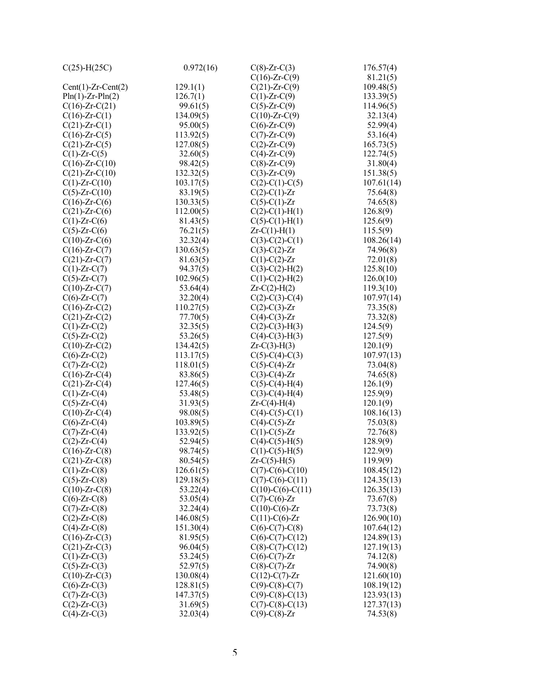| $C(25)$ -H $(25C)$   | 0.972(16) | $C(8)$ -Zr- $C(3)$       | 176.57(4)  |
|----------------------|-----------|--------------------------|------------|
|                      |           | $C(16)$ -Zr- $C(9)$      | 81.21(5)   |
| $Cent(1)-Zr-Cent(2)$ | 129.1(1)  | $C(21)$ -Zr- $C(9)$      | 109.48(5)  |
| $Pin(1)-Zr-Pln(2)$   | 126.7(1)  | $C(1)$ -Zr- $C(9)$       | 133.39(5)  |
| $C(16)$ -Zr- $C(21)$ | 99.61(5)  | $C(5)$ -Zr- $C(9)$       | 114.96(5)  |
| $C(16)$ -Zr- $C(1)$  | 134.09(5) | $C(10)$ -Zr- $C(9)$      | 32.13(4)   |
| $C(21)$ -Zr- $C(1)$  | 95.00(5)  | $C(6)$ -Zr- $C(9)$       | 52.99(4)   |
| $C(16)$ -Zr- $C(5)$  | 113.92(5) | $C(7)$ -Zr- $C(9)$       | 53.16(4)   |
| $C(21)$ -Zr- $C(5)$  | 127.08(5) | $C(2)$ -Zr- $C(9)$       | 165.73(5)  |
| $C(1)$ -Zr- $C(5)$   | 32.60(5)  | $C(4)$ -Zr- $C(9)$       | 122.74(5)  |
| $C(16)$ -Zr- $C(10)$ | 98.42(5)  | $C(8)$ -Zr- $C(9)$       | 31.80(4)   |
| $C(21)$ -Zr- $C(10)$ | 132.32(5) | $C(3)$ -Zr- $C(9)$       | 151.38(5)  |
| $C(1)$ -Zr- $C(10)$  | 103.17(5) | $C(2)-C(1)-C(5)$         | 107.61(14) |
| $C(5)$ -Zr- $C(10)$  | 83.19(5)  | $C(2)$ -C(1)-Zr          | 75.64(8)   |
| $C(16)$ -Zr- $C(6)$  | 130.33(5) | $C(5)-C(1)-Zr$           | 74.65(8)   |
| $C(21)$ -Zr- $C(6)$  | 112.00(5) | $C(2)$ -C(1)-H(1)        | 126.8(9)   |
| $C(1)$ -Zr- $C(6)$   | 81.43(5)  | $C(5)-C(1)-H(1)$         | 125.6(9)   |
| $C(5)$ -Zr- $C(6)$   | 76.21(5)  | $Zr-C(1)-H(1)$           | 115.5(9)   |
| $C(10)$ -Zr- $C(6)$  | 32.32(4)  | $C(3)-C(2)-C(1)$         | 108.26(14) |
| $C(16)$ -Zr- $C(7)$  | 130.63(5) | $C(3)-C(2)-Zr$           | 74.96(8)   |
| $C(21)$ -Zr- $C(7)$  | 81.63(5)  | $C(1)-C(2)-Zr$           | 72.01(8)   |
| $C(1)$ -Zr- $C(7)$   | 94.37(5)  | $C(3)-C(2)-H(2)$         | 125.8(10)  |
| $C(5)$ -Zr- $C(7)$   | 102.96(5) | $C(1)$ -C(2)-H(2)        | 126.0(10)  |
| $C(10)$ -Zr- $C(7)$  | 53.64(4)  | $Zr-C(2)-H(2)$           | 119.3(10)  |
| $C(6)$ -Zr- $C(7)$   | 32.20(4)  | $C(2)-C(3)-C(4)$         | 107.97(14) |
| $C(16)$ -Zr- $C(2)$  | 110.27(5) | $C(2)$ -C(3)-Zr          | 73.35(8)   |
| $C(21)$ -Zr- $C(2)$  | 77.70(5)  | $C(4)-C(3)-Zr$           | 73.32(8)   |
| $C(1)$ -Zr- $C(2)$   | 32.35(5)  | $C(2)-C(3)-H(3)$         | 124.5(9)   |
| $C(5)$ -Zr- $C(2)$   | 53.26(5)  | $C(4)-C(3)-H(3)$         | 127.5(9)   |
| $C(10)$ -Zr- $C(2)$  | 134.42(5) | $Zr-C(3)-H(3)$           | 120.1(9)   |
| $C(6)$ -Zr- $C(2)$   | 113.17(5) | $C(5)-C(4)-C(3)$         | 107.97(13) |
| $C(7)$ -Zr- $C(2)$   | 118.01(5) | $C(5)-C(4)-Zr$           | 73.04(8)   |
| $C(16)$ -Zr- $C(4)$  | 83.86(5)  | $C(3)-C(4)-Zr$           | 74.65(8)   |
| $C(21)$ -Zr- $C(4)$  | 127.46(5) | $C(5)$ -C(4)-H(4)        | 126.1(9)   |
| $C(1)$ -Zr- $C(4)$   | 53.48(5)  | $C(3)-C(4)-H(4)$         | 125.9(9)   |
| $C(5)$ -Zr- $C(4)$   | 31.93(5)  | $Zr-C(4)-H(4)$           | 120.1(9)   |
| $C(10)$ -Zr- $C(4)$  | 98.08(5)  | $C(4)-C(5)-C(1)$         | 108.16(13) |
| $C(6)$ -Zr- $C(4)$   | 103.89(5) | $C(4)-C(5)-Zr$           | 75.03(8)   |
| $C(7)$ -Zr- $C(4)$   | 133.92(5) | $C(1)-C(5)-Zr$           | 72.76(8)   |
| $C(2)$ -Zr- $C(4)$   | 52.94(5)  | $C(4)$ - $C(5)$ - $H(5)$ | 128.9(9)   |
| $C(16)$ -Zr- $C(8)$  | 98.74(5)  | $C(1)-C(5)-H(5)$         | 122.9(9)   |
| $C(21)$ -Zr- $C(8)$  | 80.54(5)  | $Zr-C(5)-H(5)$           | 119.9(9)   |
| $C(1)$ -Zr- $C(8)$   | 126.61(5) | $C(7)$ -C(6)-C(10)       | 108.45(12) |
| $C(5)$ -Zr- $C(8)$   | 129.18(5) | $C(7)-C(6)-C(11)$        | 124.35(13) |
| $C(10)$ -Zr- $C(8)$  | 53.22(4)  | $C(10)-C(6)-C(11)$       | 126.35(13) |
| $C(6)$ -Zr- $C(8)$   | 53.05(4)  | $C(7)$ -C(6)-Zr          | 73.67(8)   |
| $C(7)$ -Zr- $C(8)$   | 32.24(4)  | $C(10)-C(6)$ -Zr         | 73.73(8)   |
| $C(2)$ -Zr- $C(8)$   | 146.08(5) | $C(11)-C(6)-Zr$          | 126.90(10) |
| $C(4)$ -Zr- $C(8)$   | 151.30(4) | $C(6)-C(7)-C(8)$         | 107.64(12) |
| $C(16)$ -Zr- $C(3)$  | 81.95(5)  | $C(6)-C(7)-C(12)$        | 124.89(13) |
| $C(21)$ -Zr- $C(3)$  | 96.04(5)  | $C(8)-C(7)-C(12)$        | 127.19(13) |
| $C(1)$ -Zr- $C(3)$   | 53.24(5)  | $C(6)-C(7)-Zr$           | 74.12(8)   |
| $C(5)$ -Zr- $C(3)$   | 52.97(5)  | $C(8)-C(7)-Zr$           | 74.90(8)   |
| $C(10)$ -Zr- $C(3)$  | 130.08(4) | $C(12)-C(7)-Zr$          | 121.60(10) |
| $C(6)$ -Zr- $C(3)$   | 128.81(5) | $C(9)$ -C(8)-C(7)        | 108.19(12) |
| $C(7)$ -Zr- $C(3)$   | 147.37(5) | $C(9)-C(8)-C(13)$        | 123.93(13) |
| $C(2)$ -Zr- $C(3)$   | 31.69(5)  | $C(7)-C(8)-C(13)$        | 127.37(13) |
| $C(4)$ -Zr- $C(3)$   | 32.03(4)  | $C(9)$ -C(8)-Zr          | 74.53(8)   |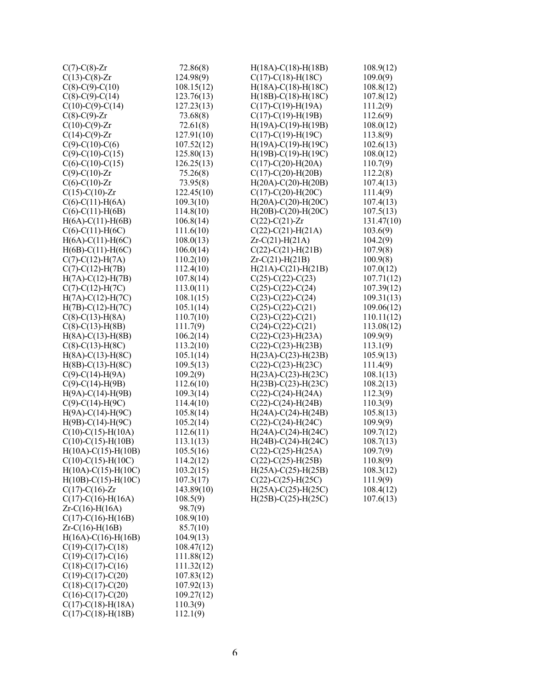| $C(7)$ - $C(8)$ -Zr       | 72.86(8)   | $H(18A)-C(18)-H(18B)$        | 108.9(12)  |
|---------------------------|------------|------------------------------|------------|
| $C(13)-C(8)-Zr$           | 124.98(9)  | $C(17)-C(18)-H(18C)$         | 109.0(9)   |
| $C(8)-C(9)-C(10)$         | 108.15(12) | $H(18A)-C(18)-H(18C)$        | 108.8(12)  |
| $C(8)$ -C(9)-C(14)        | 123.76(13) | $H(18B) - C(18) - H(18C)$    | 107.8(12)  |
| $C(10)-C(9)-C(14)$        | 127.23(13) | $C(17)-C(19)-H(19A)$         | 111.2(9)   |
| $C(8)$ - $C(9)$ -Zr       | 73.68(8)   | $C(17)-C(19)-H(19B)$         | 112.6(9)   |
| $C(10)-C(9)$ -Zr          | 72.61(8)   | $H(19A)-C(19)-H(19B)$        | 108.0(12)  |
| $C(14)-C(9)$ -Zr          | 127.91(10) | $C(17)-C(19)-H(19C)$         | 113.8(9)   |
| $C(9)$ -C(10)-C(6)        | 107.52(12) | $H(19A)-C(19)-H(19C)$        | 102.6(13)  |
| $C(9)$ -C(10)-C(15)       | 125.80(13) | $H(19B)-C(19)-H(19C)$        | 108.0(12)  |
| $C(6)-C(10)-C(15)$        | 126.25(13) | $C(17)$ - $C(20)$ - $H(20A)$ | 110.7(9)   |
| $C(9) - C(10) - Zr$       | 75.26(8)   | $C(17)-C(20)-H(20B)$         | 112.2(8)   |
| $C(6)-C(10)-Zr$           | 73.95(8)   | $H(20A) - C(20) - H(20B)$    | 107.4(13)  |
| $C(15)-C(10)-Zr$          | 122.45(10) | $C(17)-C(20)-H(20C)$         | 111.4(9)   |
| $C(6)-C(11)-H(6A)$        | 109.3(10)  | $H(20A)-C(20)-H(20C)$        | 107.4(13)  |
| $C(6)-C(11)-H(6B)$        | 114.8(10)  | $H(20B) - C(20) - H(20C)$    | 107.5(13)  |
| $H(6A)-C(11)-H(6B)$       | 106.8(14)  | $C(22) - C(21) - Zr$         | 131.47(10) |
| $C(6)-C(11)-H(6C)$        | 111.6(10)  | $C(22) - C(21) - H(21A)$     | 103.6(9)   |
| $H(6A)-C(11)-H(6C)$       | 108.0(13)  | $Zr-C(21) - H(21A)$          | 104.2(9)   |
| $H(6B) - C(11) - H(6C)$   | 106.0(14)  | $C(22) - C(21) - H(21B)$     | 107.9(8)   |
| $C(7)$ -C(12)-H(7A)       | 110.2(10)  | $Zr-C(21) - H(21B)$          | 100.9(8)   |
| $C(7)-C(12)-H(7B)$        | 112.4(10)  | $H(21A)-C(21)-H(21B)$        | 107.0(12)  |
| $H(7A)-C(12)-H(7B)$       | 107.8(14)  | $C(25)$ -C(22)-C(23)         | 107.71(12) |
| $C(7)$ -C(12)-H(7C)       | 113.0(11)  | $C(25)$ -C(22)-C(24)         | 107.39(12) |
| $H(7A)-C(12)-H(7C)$       | 108.1(15)  | $C(23)-C(22)-C(24)$          | 109.31(13) |
| $H(7B) - C(12) - H(7C)$   | 105.1(14)  | $C(25) - C(22) - C(21)$      | 109.06(12) |
| $C(8) - C(13) - H(8A)$    | 110.7(10)  | $C(23)-C(22)-C(21)$          | 110.11(12) |
| $C(8) - C(13) - H(8B)$    | 111.7(9)   | $C(24)$ -C(22)-C(21)         | 113.08(12) |
| $H(8A)-C(13)-H(8B)$       | 106.2(14)  | $C(22) - C(23) - H(23A)$     | 109.9(9)   |
| $C(8)$ -C(13)-H(8C)       | 113.2(10)  | $C(22) - C(23) - H(23B)$     | 113.1(9)   |
| $H(8A)-C(13)-H(8C)$       | 105.1(14)  | $H(23A) - C(23) - H(23B)$    | 105.9(13)  |
| $H(8B) - C(13) - H(8C)$   | 109.5(13)  | $C(22)$ -C(23)-H(23C)        | 111.4(9)   |
| $C(9)$ -C(14)-H(9A)       | 109.2(9)   | $H(23A)-C(23)-H(23C)$        | 108.1(13)  |
| $C(9)$ -C(14)-H(9B)       | 112.6(10)  | $H(23B) - C(23) - H(23C)$    | 108.2(13)  |
| $H(9A)-C(14)-H(9B)$       | 109.3(14)  | $C(22)$ - $C(24)$ -H $(24A)$ | 112.3(9)   |
| $C(9)$ -C(14)-H(9C)       | 114.4(10)  | $C(22) - C(24) - H(24B)$     | 110.3(9)   |
| $H(9A)-C(14)-H(9C)$       | 105.8(14)  | $H(24A)-C(24)-H(24B)$        | 105.8(13)  |
| $H(9B) - C(14) - H(9C)$   | 105.2(14)  | $C(22)$ -C(24)-H(24C)        | 109.9(9)   |
| $C(10)-C(15)-H(10A)$      | 112.6(11)  | $H(24A)-C(24)-H(24C)$        | 109.7(12)  |
| $C(10)-C(15)-H(10B)$      | 113.1(13)  | $H(24B) - C(24) - H(24C)$    | 108.7(13)  |
| $H(10A) - C(15) - H(10B)$ | 105.5(16)  | $C(22)$ -C(25)-H(25A)        | 109.7(9)   |
| $C(10)-C(15)-H(10C)$      | 114.2(12)  | $C(22) - C(25) - H(25B)$     | 110.8(9)   |
| $H(10A)-C(15)-H(10C)$     | 103.2(15)  | $H(25A) - C(25) - H(25B)$    | 108.3(12)  |
| $H(10B) - C(15) - H(10C)$ | 107.3(17)  | $C(22) - C(25) - H(25C)$     | 111.9(9)   |
| $C(17)-C(16)-Zr$          | 143.89(10) | $H(25A)-C(25)-H(25C)$        | 108.4(12)  |
| $C(17)-C(16)-H(16A)$      | 108.5(9)   | $H(25B) - C(25) - H(25C)$    | 107.6(13)  |
| $Zr-C(16) - H(16A)$       | 98.7(9)    |                              |            |
| $C(17)-C(16)-H(16B)$      | 108.9(10)  |                              |            |
| $Zr-C(16) - H(16B)$       | 85.7(10)   |                              |            |
| $H(16A)-C(16)-H(16B)$     | 104.9(13)  |                              |            |
| $C(19)-C(17)-C(18)$       | 108.47(12) |                              |            |
| $C(19)-C(17)-C(16)$       | 111.88(12) |                              |            |
| $C(18)-C(17)-C(16)$       | 111.32(12) |                              |            |
| $C(19)-C(17)-C(20)$       | 107.83(12) |                              |            |
| $C(18)-C(17)-C(20)$       | 107.92(13) |                              |            |
| $C(16)-C(17)-C(20)$       | 109.27(12) |                              |            |
| $C(17)-C(18)-H(18A)$      | 110.3(9)   |                              |            |
| $C(17) - C(18) - H(18B)$  | 112.1(9)   |                              |            |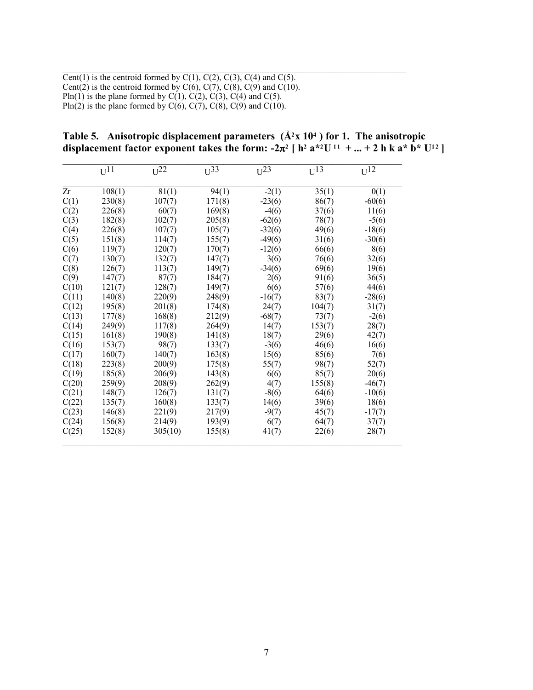Cent(1) is the centroid formed by  $C(1)$ ,  $C(2)$ ,  $C(3)$ ,  $C(4)$  and  $C(5)$ . Cent(2) is the centroid formed by  $C(6)$ ,  $C(7)$ ,  $C(8)$ ,  $C(9)$  and  $C(10)$ . Pln(1) is the plane formed by  $C(1)$ ,  $C(2)$ ,  $C(3)$ ,  $C(4)$  and  $C(5)$ . Pln(2) is the plane formed by  $C(6)$ ,  $C(7)$ ,  $C(8)$ ,  $C(9)$  and  $C(10)$ .

Table 5. Anisotropic displacement parameters  $(\hat{A}^2X 10^4)$  for 1. The anisotropic displacement factor exponent takes the form:  $-2\pi^2$  [ h<sup>2</sup> a<sup>\*2</sup>U<sup>11</sup> + ... + 2 h k a<sup>\*</sup> b<sup>\*</sup> U<sup>12</sup>]

 $\mathcal{L}_\text{max}$  , and the contribution of the contribution of the contribution of the contribution of the contribution of the contribution of the contribution of the contribution of the contribution of the contribution of t

|       | $U^{11}$ | $U^{22}$ | $U^{33}$ | $U^{23}$ | $U^{13}$ | $U^{12}$ |
|-------|----------|----------|----------|----------|----------|----------|
| Zr    | 108(1)   | 81(1)    | 94(1)    | $-2(1)$  | 35(1)    | 0(1)     |
| C(1)  | 230(8)   | 107(7)   | 171(8)   | $-23(6)$ | 86(7)    | $-60(6)$ |
| C(2)  | 226(8)   | 60(7)    | 169(8)   | $-4(6)$  | 37(6)    | 11(6)    |
| C(3)  | 182(8)   | 102(7)   | 205(8)   | $-62(6)$ | 78(7)    | $-5(6)$  |
| C(4)  | 226(8)   | 107(7)   | 105(7)   | $-32(6)$ | 49(6)    | $-18(6)$ |
| C(5)  | 151(8)   | 114(7)   | 155(7)   | $-49(6)$ | 31(6)    | $-30(6)$ |
| C(6)  | 119(7)   | 120(7)   | 170(7)   | $-12(6)$ | 66(6)    | 8(6)     |
| C(7)  | 130(7)   | 132(7)   | 147(7)   | 3(6)     | 76(6)    | 32(6)    |
| C(8)  | 126(7)   | 113(7)   | 149(7)   | $-34(6)$ | 69(6)    | 19(6)    |
| C(9)  | 147(7)   | 87(7)    | 184(7)   | 2(6)     | 91(6)    | 36(5)    |
| C(10) | 121(7)   | 128(7)   | 149(7)   | 6(6)     | 57(6)    | 44(6)    |
| C(11) | 140(8)   | 220(9)   | 248(9)   | $-16(7)$ | 83(7)    | $-28(6)$ |
| C(12) | 195(8)   | 201(8)   | 174(8)   | 24(7)    | 104(7)   | 31(7)    |
| C(13) | 177(8)   | 168(8)   | 212(9)   | $-68(7)$ | 73(7)    | $-2(6)$  |
| C(14) | 249(9)   | 117(8)   | 264(9)   | 14(7)    | 153(7)   | 28(7)    |
| C(15) | 161(8)   | 190(8)   | 141(8)   | 18(7)    | 29(6)    | 42(7)    |
| C(16) | 153(7)   | 98(7)    | 133(7)   | $-3(6)$  | 46(6)    | 16(6)    |
| C(17) | 160(7)   | 140(7)   | 163(8)   | 15(6)    | 85(6)    | 7(6)     |
| C(18) | 223(8)   | 200(9)   | 175(8)   | 55(7)    | 98(7)    | 52(7)    |
| C(19) | 185(8)   | 206(9)   | 143(8)   | 6(6)     | 85(7)    | 20(6)    |
| C(20) | 259(9)   | 208(9)   | 262(9)   | 4(7)     | 155(8)   | $-46(7)$ |
| C(21) | 148(7)   | 126(7)   | 131(7)   | $-8(6)$  | 64(6)    | $-10(6)$ |
| C(22) | 135(7)   | 160(8)   | 133(7)   | 14(6)    | 39(6)    | 18(6)    |
| C(23) | 146(8)   | 221(9)   | 217(9)   | $-9(7)$  | 45(7)    | $-17(7)$ |
| C(24) | 156(8)   | 214(9)   | 193(9)   | 6(7)     | 64(7)    | 37(7)    |
| C(25) | 152(8)   | 305(10)  | 155(8)   | 41(7)    | 22(6)    | 28(7)    |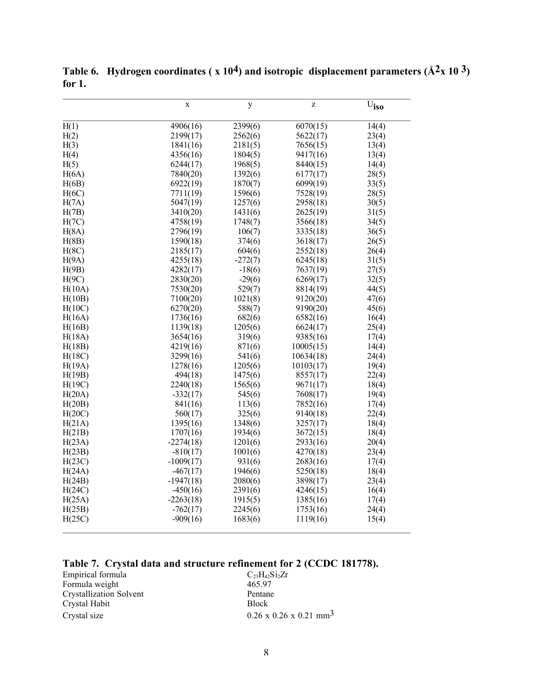|                | $\mathbf X$ | y                    | Z         | $\overline{U}_{\text{iso}}$ |
|----------------|-------------|----------------------|-----------|-----------------------------|
| H(1)           | 4906(16)    | $\overline{2}399(6)$ | 6070(15)  | 14(4)                       |
| H(2)           | 2199(17)    | 2562(6)              | 5622(17)  | 23(4)                       |
| H(3)           | 1841(16)    | 2181(5)              | 7656(15)  | 13(4)                       |
| H(4)           | 4356(16)    | 1804(5)              | 9417(16)  | 13(4)                       |
| H(5)           | 6244(17)    | 1968(5)              | 8440(15)  | 14(4)                       |
| H(6A)          | 7840(20)    | 1392(6)              | 6177(17)  | 28(5)                       |
| H(6B)          | 6922(19)    | 1870(7)              | 6099(19)  | 33(5)                       |
| H(6C)          | 7711(19)    | 1596(6)              | 7528(19)  | 28(5)                       |
| H(7A)          | 5047(19)    | 1257(6)              | 2958(18)  | 30(5)                       |
| H(7B)          | 3410(20)    | 1431(6)              | 2625(19)  | 31(5)                       |
| H(7C)          | 4758(19)    | 1748(7)              | 3566(18)  | 34(5)                       |
| H(8A)          | 2796(19)    | 106(7)               | 3335(18)  | 36(5)                       |
| H(8B)          | 1590(18)    | 374(6)               | 3618(17)  | 26(5)                       |
| H(8C)          | 2185(17)    | 604(6)               | 2552(18)  | 26(4)                       |
| H(9A)          | 4255(18)    | $-272(7)$            | 6245(18)  | 31(5)                       |
|                | 4282(17)    |                      | 7637(19)  |                             |
| H(9B)<br>H(9C) | 2830(20)    | $-18(6)$<br>$-29(6)$ | 6269(17)  | 27(5)<br>32(5)              |
|                |             |                      |           |                             |
| H(10A)         | 7530(20)    | 529(7)               | 8814(19)  | 44(5)                       |
| H(10B)         | 7100(20)    | 1021(8)              | 9120(20)  | 47(6)                       |
| H(10C)         | 6270(20)    | 588(7)               | 9190(20)  | 45(6)                       |
| H(16A)         | 1736(16)    | 682(6)               | 6582(16)  | 16(4)                       |
| H(16B)         | 1139(18)    | 1205(6)              | 6624(17)  | 25(4)                       |
| H(18A)         | 3654(16)    | 319(6)               | 9385(16)  | 17(4)                       |
| H(18B)         | 4219(16)    | 871(6)               | 10005(15) | 14(4)                       |
| H(18C)         | 3299(16)    | 541(6)               | 10634(18) | 24(4)                       |
| H(19A)         | 1278(16)    | 1205(6)              | 10103(17) | 19(4)                       |
| H(19B)         | 494(18)     | 1475(6)              | 8557(17)  | 22(4)                       |
| H(19C)         | 2240(18)    | 1565(6)              | 9671(17)  | 18(4)                       |
| H(20A)         | $-332(17)$  | 545(6)               | 7608(17)  | 19(4)                       |
| H(20B)         | 841(16)     | 113(6)               | 7852(16)  | 17(4)                       |
| H(20C)         | 560(17)     | 325(6)               | 9140(18)  | 22(4)                       |
| H(21A)         | 1395(16)    | 1348(6)              | 3257(17)  | 18(4)                       |
| H(21B)         | 1707(16)    | 1934(6)              | 3672(15)  | 18(4)                       |
| H(23A)         | $-2274(18)$ | 1201(6)              | 2933(16)  | 20(4)                       |
| H(23B)         | $-810(17)$  | 1001(6)              | 4270(18)  | 23(4)                       |
| H(23C)         | $-1009(17)$ | 931(6)               | 2683(16)  | 17(4)                       |
| H(24A)         | $-467(17)$  | 1946(6)              | 5250(18)  | 18(4)                       |
| H(24B)         | $-1947(18)$ | 2080(6)              | 3898(17)  | 23(4)                       |
| H(24C)         | $-450(16)$  | 2391(6)              | 4246(15)  | 16(4)                       |
| H(25A)         | $-2263(18)$ | 1915(5)              | 1385(16)  | 17(4)                       |
| H(25B)         | $-762(17)$  | 2245(6)              | 1753(16)  | 24(4)                       |
| H(25C)         | $-909(16)$  | 1683(6)              | 1119(16)  | 15(4)                       |
|                |             |                      |           |                             |

Table 6. Hydrogen coordinates ( $x 10<sup>4</sup>$ ) and isotropic displacement parameters ( $\AA$ <sup>2</sup>x 10<sup>3</sup>) for 1.

# Table 7. Crystal data and structure refinement for 2 (CCDC 181778).

| Empirical formula              | $C_{23}H_{42}Si_2Zr$                        |
|--------------------------------|---------------------------------------------|
| Formula weight                 | 465.97                                      |
| <b>Crystallization Solvent</b> | Pentane                                     |
| Crystal Habit                  | <b>Block</b>                                |
| Crystal size                   | $0.26 \times 0.26 \times 0.21 \text{ mm}^3$ |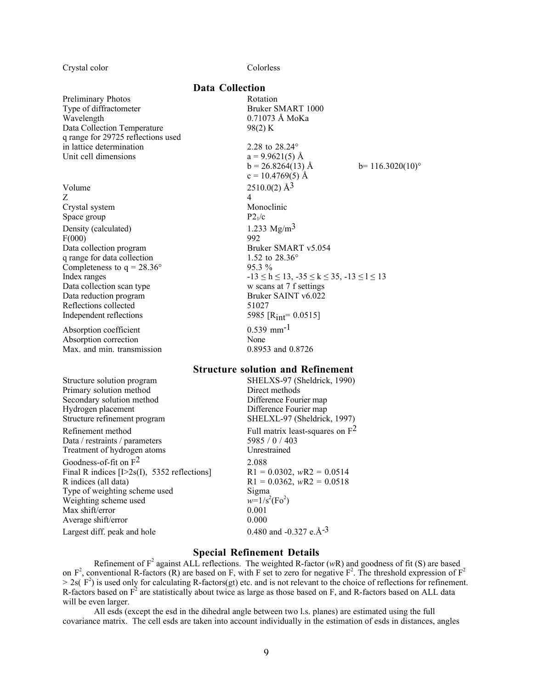Crystal color Colorless

#### Preliminary Photos Rotation Type of diffractometer Bruker SMART 1000 Wavelength 0.71073 Å MoKa Data Collection Temperature 98(2) K q range for 29725 reflections used in lattice determination 2.28 to 28.24°

Volume  $2510.0(2)$   $\rm \AA^{3}$  $Z \qquad \qquad 4$ Crystal system Monoclinic Space group  $P2_1/c$ Density (calculated)  $1.233 \text{ Mg/m}^3$ <br>F(000) 992  $F(000)$ q range for data collection 1.52 to 28.36° Completeness to  $q = 28.36^{\circ}$  95.3 % Data reduction program Reflections collected 51027

Absorption correction None Max. and min. transmission 0.8953 and 0.8726

Primary solution method Secondary solution method Difference Fourier map Hydrogen placement Difference Fourier map

Data / restraints / parameters 5985 / 0 / 403<br>Treatment of hydrogen atoms Unrestrained Treatment of hydrogen atoms

Goodness-of-fit on  $F^2$  2.088 Final R indices [I>2s(I), 5352 reflections] R1 = 0.0302, *w*R2 = 0.0514 R indices (all data)  $R1 = 0.0362$ ,  $wR2 = 0.0518$ Type of weighting scheme used Sigma Weighting scheme used  $w=1/s$ <br>Max shift/error 0.001 Max shift/error Average shift/error 0.000

#### Data Collection

Unit cell dimensions  $a = 9.9621(5)$  Å  $b = 26.8264(13)$  Å  $b = 116.3020(10)^\circ$  $c = 10.4769(5)$  Å Data collection program Bruker SMART v5.054 Index ranges  $-13 \le h \le 13$ ,  $-35 \le k \le 35$ ,  $-13 \le l \le 13$ Data collection scan type w scans at 7 f settings<br>Data reduction program Bruker SAINT v6.022 Independent reflections  $5985 \text{ [R}_{int} = 0.0515 \text{]}$ Absorption coefficient  $0.539 \text{ mm}^{-1}$ 

#### Structure solution and Refinement

Structure solution program SHELXS-97 (Sheldrick, 1990)<br>
Primary solution method<br>
Direct methods Structure refinement program SHELXL-97 (Sheldrick, 1997) Refinement method Full matrix least-squares on  $F^2$ <br>Data / restraints / parameters 5985 / 0 / 403  $(Fo^2)$ Largest diff. peak and hole  $0.480$  and  $-0.327$  e.Å $^{-3}$ 

#### Special Refinement Details

Refinement of  $F^2$  against ALL reflections. The weighted R-factor ( $wR$ ) and goodness of fit (S) are based on  $F^2$ , conventional R-factors (R) are based on F, with F set to zero for negative  $F^2$ . The threshold expression of  $F^2$  $> 2s(F^2)$  is used only for calculating R-factors(gt) etc. and is not relevant to the choice of reflections for refinement. R-factors based on  $F^2$  are statistically about twice as large as those based on F, and R-factors based on ALL data will be even larger.

All esds (except the esd in the dihedral angle between two l.s. planes) are estimated using the full covariance matrix. The cell esds are taken into account individually in the estimation of esds in distances, angles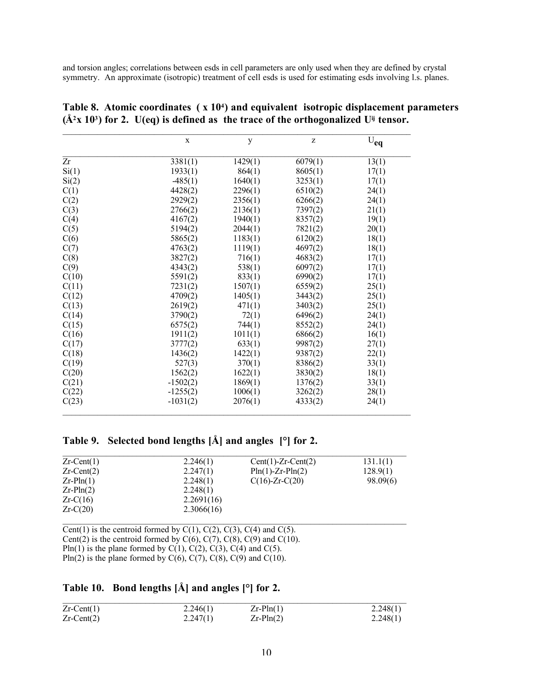and torsion angles; correlations between esds in cell parameters are only used when they are defined by crystal symmetry. An approximate (isotropic) treatment of cell esds is used for estimating esds involving l.s. planes.

|       | $\mathbf X$ | y       | Z       | $U_{eq}$ |
|-------|-------------|---------|---------|----------|
| Zr    | 3381(1)     | 1429(1) | 6079(1) | 13(1)    |
| Si(1) | 1933(1)     | 864(1)  | 8605(1) | 17(1)    |
| Si(2) | $-485(1)$   | 1640(1) | 3253(1) | 17(1)    |
| C(1)  | 4428(2)     | 2296(1) | 6510(2) | 24(1)    |
| C(2)  | 2929(2)     | 2356(1) | 6266(2) | 24(1)    |
| C(3)  | 2766(2)     | 2136(1) | 7397(2) | 21(1)    |
| C(4)  | 4167(2)     | 1940(1) | 8357(2) | 19(1)    |
| C(5)  | 5194(2)     | 2044(1) | 7821(2) | 20(1)    |
| C(6)  | 5865(2)     | 1183(1) | 6120(2) | 18(1)    |
| C(7)  | 4763(2)     | 1119(1) | 4697(2) | 18(1)    |
| C(8)  | 3827(2)     | 716(1)  | 4683(2) | 17(1)    |
| C(9)  | 4343(2)     | 538(1)  | 6097(2) | 17(1)    |
| C(10) | 5591(2)     | 833(1)  | 6990(2) | 17(1)    |
| C(11) | 7231(2)     | 1507(1) | 6559(2) | 25(1)    |
| C(12) | 4709(2)     | 1405(1) | 3443(2) | 25(1)    |
| C(13) | 2619(2)     | 471(1)  | 3403(2) | 25(1)    |
| C(14) | 3790(2)     | 72(1)   | 6496(2) | 24(1)    |
| C(15) | 6575(2)     | 744(1)  | 8552(2) | 24(1)    |
| C(16) | 1911(2)     | 1011(1) | 6866(2) | 16(1)    |
| C(17) | 3777(2)     | 633(1)  | 9987(2) | 27(1)    |
| C(18) | 1436(2)     | 1422(1) | 9387(2) | 22(1)    |
| C(19) | 527(3)      | 370(1)  | 8386(2) | 33(1)    |
| C(20) | 1562(2)     | 1622(1) | 3830(2) | 18(1)    |
| C(21) | $-1502(2)$  | 1869(1) | 1376(2) | 33(1)    |
| C(22) | $-1255(2)$  | 1006(1) | 3262(2) | 28(1)    |
| C(23) | $-1031(2)$  | 2076(1) | 4333(2) | 24(1)    |

|  |                                                                                                     |  |  | Table 8. Atomic coordinates $(x 104)$ and equivalent isotropic displacement parameters |
|--|-----------------------------------------------------------------------------------------------------|--|--|----------------------------------------------------------------------------------------|
|  | $(\AA^2 X 10^3)$ for 2. U(eq) is defined as the trace of the orthogonalized U <sup>ij</sup> tensor. |  |  |                                                                                        |

## Table 9. Selected bond lengths [Å] and angles [°] for 2.

| $Zr$ -Cent(1)    | 2.246(1)   | $Cent(1)-Zr-Cent(2)$   | 131.1(1) |
|------------------|------------|------------------------|----------|
| $Zr$ -Cent $(2)$ | 2.247(1)   | $Pin(1)$ -Zr- $Pin(2)$ | 128.9(1) |
| $Zr-Pln(1)$      | 2.248(1)   | $C(16)$ -Zr- $C(20)$   | 98.09(6) |
| $Zr-Pln(2)$      | 2.248(1)   |                        |          |
| $Zr-C(16)$       | 2.2691(16) |                        |          |
| $Zr-C(20)$       | 2.3066(16) |                        |          |

Cent(1) is the centroid formed by  $C(1)$ ,  $C(2)$ ,  $C(3)$ ,  $C(4)$  and  $C(5)$ . Cent(2) is the centroid formed by  $C(6)$ ,  $C(7)$ ,  $C(8)$ ,  $C(9)$  and  $C(10)$ . Pln(1) is the plane formed by C(1), C(2), C(3), C(4) and C(5). Pln(2) is the plane formed by  $C(6)$ ,  $C(7)$ ,  $C(8)$ ,  $C(9)$  and  $C(10)$ .

## Table 10. Bond lengths  $\hat{A}$  and angles  $\hat{ }$  or 2.

| $Zr$ -Cent(1)    | 2.246(1) | $Zr-Pln(1)$ | 2.248(1) |
|------------------|----------|-------------|----------|
| $Zr$ -Cent $(2)$ | 2.247(1) | $Zr-Pln(2)$ | 2.248(1) |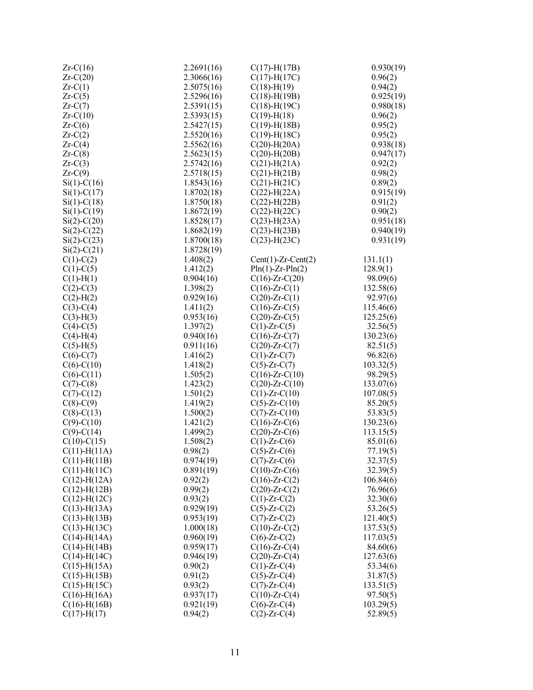| $Zr-C(16)$         | 2.2691(16) | $C(17)$ -H $(17B)$     | 0.930(19) |
|--------------------|------------|------------------------|-----------|
| $Zr-C(20)$         | 2.3066(16) | $C(17)$ -H $(17C)$     | 0.96(2)   |
| $Zr-C(1)$          | 2.5075(16) | $C(18) - H(19)$        | 0.94(2)   |
| $Zr-C(5)$          | 2.5296(16) | $C(18)$ -H(19B)        | 0.925(19) |
| $Zr-C(7)$          | 2.5391(15) | $C(18)-H(19C)$         | 0.980(18) |
| $Zr-C(10)$         | 2.5393(15) | $C(19)$ -H $(18)$      | 0.96(2)   |
| $Zr-C(6)$          | 2.5427(15) | $C(19)$ -H $(18B)$     | 0.95(2)   |
| $Zr-C(2)$          | 2.5520(16) | $C(19)$ -H $(18C)$     | 0.95(2)   |
| $Zr-C(4)$          | 2.5562(16) | $C(20)$ -H $(20A)$     | 0.938(18) |
| $Zr-C(8)$          | 2.5623(15) | $C(20)$ -H $(20B)$     | 0.947(17) |
| $Zr-C(3)$          | 2.5742(16) | $C(21)$ -H $(21A)$     | 0.92(2)   |
| $Zr-C(9)$          | 2.5718(15) | $C(21)$ -H $(21B)$     | 0.98(2)   |
| $Si(1)-C(16)$      | 1.8543(16) | $C(21)$ -H $(21C)$     | 0.89(2)   |
| $Si(1) - C(17)$    | 1.8702(18) | $C(22)$ -H $(22A)$     | 0.915(19) |
| $Si(1)-C(18)$      | 1.8750(18) | $C(22)$ -H $(22B)$     | 0.91(2)   |
| $Si(1)-C(19)$      | 1.8672(19) | $C(22)$ -H $(22C)$     | 0.90(2)   |
| $Si(2) - C(20)$    | 1.8528(17) | $C(23)$ -H $(23A)$     | 0.951(18) |
| $Si(2)-C(22)$      | 1.8682(19) | $C(23)$ -H $(23B)$     | 0.940(19) |
| $Si(2) - C(23)$    | 1.8700(18) | $C(23)$ -H $(23C)$     | 0.931(19) |
| $Si(2) - C(21)$    | 1.8728(19) |                        |           |
| $C(1)-C(2)$        | 1.408(2)   | $Cent(1)-Zr-Cent(2)$   | 131.1(1)  |
| $C(1)-C(5)$        | 1.412(2)   | $Pln(1)$ -Zr- $Pln(2)$ | 128.9(1)  |
| $C(1)-H(1)$        | 0.904(16)  | $C(16)$ -Zr- $C(20)$   | 98.09(6)  |
| $C(2)-C(3)$        | 1.398(2)   | $C(16)$ -Zr- $C(1)$    | 132.58(6) |
| $C(2)$ -H(2)       | 0.929(16)  | $C(20)$ -Zr- $C(1)$    | 92.97(6)  |
| $C(3)-C(4)$        | 1.411(2)   | $C(16)$ -Zr- $C(5)$    | 115.46(6) |
| $C(3)-H(3)$        | 0.953(16)  | $C(20)$ -Zr- $C(5)$    | 125.25(6) |
| $C(4)-C(5)$        | 1.397(2)   | $C(1)$ -Zr- $C(5)$     | 32.56(5)  |
| $C(4)-H(4)$        | 0.940(16)  | $C(16)$ -Zr- $C(7)$    | 130.23(6) |
| $C(5)-H(5)$        | 0.911(16)  | $C(20)$ -Zr- $C(7)$    | 82.51(5)  |
| $C(6)-C(7)$        | 1.416(2)   | $C(1)$ -Zr- $C(7)$     | 96.82(6)  |
| $C(6)-C(10)$       | 1.418(2)   | $C(5)$ -Zr- $C(7)$     | 103.32(5) |
| $C(6)-C(11)$       | 1.505(2)   | $C(16)$ -Zr- $C(10)$   | 98.29(5)  |
| $C(7)$ - $C(8)$    | 1.423(2)   | $C(20)$ -Zr- $C(10)$   | 133.07(6) |
| $C(7) - C(12)$     | 1.501(2)   | $C(1)$ -Zr- $C(10)$    | 107.08(5) |
| $C(8)-C(9)$        | 1.419(2)   | $C(5)$ -Zr- $C(10)$    | 85.20(5)  |
| $C(8)-C(13)$       | 1.500(2)   | $C(7)$ -Zr- $C(10)$    | 53.83(5)  |
| $C(9) - C(10)$     | 1.421(2)   | $C(16)$ -Zr- $C(6)$    | 130.23(6) |
| $C(9) - C(14)$     | 1.499(2)   | $C(20)$ -Zr- $C(6)$    | 113.15(5) |
| $C(10)-C(15)$      | 1.508(2)   | $C(1)$ -Zr- $C(6)$     | 85.01(6)  |
| $C(11)$ -H(11A)    | 0.98(2)    | $C(5)$ -Zr- $C(6)$     | 77.19(5)  |
| $C(11)$ -H(11B)    | 0.974(19)  | $C(7)$ -Zr- $C(6)$     | 32.37(5)  |
| $C(11)$ -H(11C)    | 0.891(19)  | $C(10)$ -Zr- $C(6)$    | 32.39(5)  |
| $C(12) - H(12A)$   | 0.92(2)    | $C(16)$ -Zr- $C(2)$    | 106.84(6) |
| $C(12)$ -H $(12B)$ | 0.99(2)    | $C(20)$ -Zr- $C(2)$    | 76.96(6)  |
| $C(12)$ -H $(12C)$ | 0.93(2)    | $C(1)$ -Zr- $C(2)$     | 32.30(6)  |
| $C(13)$ -H(13A)    | 0.929(19)  | $C(5)$ -Zr- $C(2)$     | 53.26(5)  |
| $C(13)$ -H $(13B)$ | 0.953(19)  | $C(7)$ -Zr- $C(2)$     | 121.40(5) |
| $C(13)$ -H $(13C)$ | 1.000(18)  | $C(10)$ -Zr- $C(2)$    | 137.53(5) |
| $C(14)$ -H(14A)    | 0.960(19)  | $C(6)$ -Zr- $C(2)$     | 117.03(5) |
| $C(14)$ -H $(14B)$ | 0.959(17)  | $C(16)$ -Zr- $C(4)$    | 84.60(6)  |
| $C(14)$ -H $(14C)$ | 0.946(19)  | $C(20)$ -Zr- $C(4)$    | 127.63(6) |
| $C(15)$ -H(15A)    | 0.90(2)    | $C(1)$ -Zr- $C(4)$     | 53.34(6)  |
| $C(15)$ -H $(15B)$ | 0.91(2)    | $C(5)$ -Zr- $C(4)$     | 31.87(5)  |
| $C(15)$ -H $(15C)$ | 0.93(2)    | $C(7)$ -Zr- $C(4)$     | 133.51(5) |
| $C(16)$ -H $(16A)$ | 0.937(17)  | $C(10)$ -Zr- $C(4)$    | 97.50(5)  |
| $C(16) - H(16B)$   | 0.921(19)  | $C(6)$ -Zr- $C(4)$     | 103.29(5) |
| $C(17)$ -H $(17)$  | 0.94(2)    | $C(2)$ -Zr- $C(4)$     | 52.89(5)  |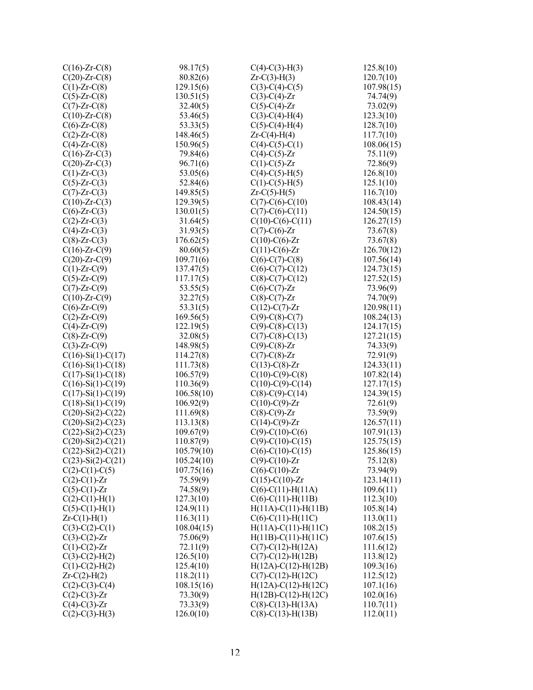| $C(16)$ -Zr- $C(8)$         | 98.17(5)   | $C(4)$ -C(3)-H(3)           | 125.8(10)              |
|-----------------------------|------------|-----------------------------|------------------------|
| $C(20)$ -Zr- $C(8)$         | 80.82(6)   | $Zr-C(3)-H(3)$              | 120.7(10)              |
| $C(1)$ -Zr- $C(8)$          | 129.15(6)  | $C(3)-C(4)-C(5)$            | 107.98(15)             |
| $C(5)$ -Zr- $C(8)$          | 130.51(5)  | $C(3)-C(4)-Zr$              | 74.74(9)               |
| $C(7)$ -Zr- $C(8)$          | 32.40(5)   | $C(5)-C(4)-Zr$              | 73.02(9)               |
| $C(10)$ -Zr- $C(8)$         | 53.46(5)   | $C(3)-C(4)-H(4)$            | 123.3(10)              |
| $C(6)$ -Zr- $C(8)$          | 53.33(5)   | $C(5)-C(4)-H(4)$            | 128.7(10)              |
| $C(2)$ -Zr- $C(8)$          | 148.46(5)  | $Zr-C(4)-H(4)$              | 117.7(10)              |
| $C(4)$ -Zr- $C(8)$          | 150.96(5)  | $C(4)-C(5)-C(1)$            | 108.06(15)             |
| $C(16)$ -Zr- $C(3)$         | 79.84(6)   | $C(4)-C(5)-Zr$              | 75.11(9)               |
| $C(20)$ -Zr- $C(3)$         | 96.71(6)   | $C(1)$ - $C(5)$ - $Zr$      | 72.86(9)               |
| $C(1)$ -Zr- $C(3)$          | 53.05(6)   | $C(4)-C(5)-H(5)$            | 126.8(10)              |
|                             | 52.84(6)   | $C(1)-C(5)-H(5)$            |                        |
| $C(5)$ -Zr- $C(3)$          | 149.85(5)  |                             | 125.1(10)<br>116.7(10) |
| $C(7)$ -Zr- $C(3)$          |            | $Zr-C(5)-H(5)$              |                        |
| $C(10)$ -Zr- $C(3)$         | 129.39(5)  | $C(7)-C(6)-C(10)$           | 108.43(14)             |
| $C(6)$ -Zr- $C(3)$          | 130.01(5)  | $C(7)-C(6)-C(11)$           | 124.50(15)             |
| $C(2)$ -Zr- $C(3)$          | 31.64(5)   | $C(10)-C(6)-C(11)$          | 126.27(15)             |
| $C(4)$ -Zr- $C(3)$          | 31.93(5)   | $C(7)$ - $C(6)$ -Zr         | 73.67(8)               |
| $C(8)$ -Zr- $C(3)$          | 176.62(5)  | $C(10)-C(6)-Zr$             | 73.67(8)               |
| $C(16)$ -Zr- $C(9)$         | 80.60(5)   | $C(11)-C(6)-Zr$             | 126.70(12)             |
| $C(20)$ -Zr- $C(9)$         | 109.71(6)  | $C(6)-C(7)-C(8)$            | 107.56(14)             |
| $C(1)$ -Zr- $C(9)$          | 137.47(5)  | $C(6)-C(7)-C(12)$           | 124.73(15)             |
| $C(5)$ -Zr- $C(9)$          | 117.17(5)  | $C(8)$ -C(7)-C(12)          | 127.52(15)             |
| $C(7)$ -Zr- $C(9)$          | 53.55(5)   | $C(6)-C(7)-Zr$              | 73.96(9)               |
| $C(10)$ -Zr- $C(9)$         | 32.27(5)   | $C(8)-C(7)-Zr$              | 74.70(9)               |
| $C(6)$ -Zr- $C(9)$          | 53.31(5)   | $C(12)-C(7)-Zr$             | 120.98(11)             |
| $C(2)$ -Zr- $C(9)$          | 169.56(5)  | $C(9)$ -C(8)-C(7)           | 108.24(13)             |
| $C(4)$ -Zr- $C(9)$          | 122.19(5)  | $C(9)$ -C(8)-C(13)          | 124.17(15)             |
| $C(8)$ -Zr- $C(9)$          | 32.08(5)   | $C(7)$ -C(8)-C(13)          | 127.21(15)             |
| $C(3)$ -Zr- $C(9)$          | 148.98(5)  | $C(9)$ -C(8)-Zr             | 74.33(9)               |
| $C(16)$ -Si $(1)$ -C $(17)$ | 114.27(8)  | $C(7)-C(8)-Zr$              | 72.91(9)               |
| $C(16)$ -Si $(1)$ -C $(18)$ | 111.73(8)  | $C(13)-C(8)-Zr$             | 124.33(11)             |
| $C(17)$ -Si $(1)$ -C $(18)$ | 106.57(9)  | $C(10)-C(9)-C(8)$           | 107.82(14)             |
| $C(16)$ -Si $(1)$ -C $(19)$ | 110.36(9)  | $C(10)-C(9)-C(14)$          | 127.17(15)             |
| $C(17)$ -Si $(1)$ -C $(19)$ | 106.58(10) | $C(8)$ -C(9)-C(14)          | 124.39(15)             |
| $C(18)$ -Si(1)-C(19)        | 106.92(9)  | $C(10)-C(9)$ -Zr            | 72.61(9)               |
| $C(20)$ -Si $(2)$ -C $(22)$ | 111.69(8)  | $C(8)-C(9)-Zr$              | 73.59(9)               |
| $C(20)$ -Si $(2)$ -C $(23)$ | 113.13(8)  | $C(14)-C(9)$ -Zr            | 126.57(11)             |
| $C(22)$ -Si $(2)$ -C $(23)$ | 109.67(9)  | $C(9)-C(10)-C(6)$           | 107.91(13)             |
| $C(20)$ -Si $(2)$ -C $(21)$ | 110.87(9)  | $C(9)$ -C(10)-C(15)         | 125.75(15)             |
| $C(22)$ -Si $(2)$ -C $(21)$ | 105.79(10) | $C(6)$ -C(10)-C(15)         | 125.86(15)             |
| $C(23)$ -Si $(2)$ -C $(21)$ | 105.24(10) | $C(9) - C(10) - Zr$         | 75.12(8)               |
| $C(2)$ -C(1)-C(5)           | 107.75(16) | $C(6)$ -C(10)-Zr            | 73.94(9)               |
| $C(2)$ -C(1)-Zr             | 75.59(9)   | $C(15)-C(10)-Zr$            | 123.14(11)             |
| $C(5)-C(1)-Zr$              | 74.58(9)   | $C(6)-C(11)-H(11A)$         | 109.6(11)              |
| $C(2)$ - $C(1)$ - $H(1)$    | 127.3(10)  | $C(6)-C(11)-H(11B)$         | 112.3(10)              |
| $C(5)-C(1)-H(1)$            | 124.9(11)  | $H(11A)-C(11)-H(11B)$       | 105.8(14)              |
| $Zr-C(1)-H(1)$              | 116.3(11)  | $C(6)-C(11)-H(11C)$         | 113.0(11)              |
| $C(3)-C(2)-C(1)$            | 108.04(15) | $H(11A)-C(11)-H(11C)$       | 108.2(15)              |
| $C(3)-C(2)-Zr$              | 75.06(9)   | $H(11B)-C(11)-H(11C)$       | 107.6(15)              |
| $C(1)$ - $C(2)$ -Zr         | 72.11(9)   | $C(7)$ -C(12)-H(12A)        | 111.6(12)              |
| $C(3)-C(2)-H(2)$            | 126.5(10)  | $C(7)$ - $C(12)$ - $H(12B)$ | 113.8(12)              |
| $C(1)$ -C(2)-H(2)           | 125.4(10)  | $H(12A)-C(12)-H(12B)$       | 109.3(16)              |
| $Zr-C(2)-H(2)$              | 118.2(11)  | $C(7)$ -C(12)-H(12C)        | 112.5(12)              |
| $C(2)$ -C(3)-C(4)           | 108.15(16) | $H(12A)-C(12)-H(12C)$       | 107.1(16)              |
| $C(2)$ -C(3)-Zr             | 73.30(9)   | $H(12B) - C(12) - H(12C)$   | 102.0(16)              |
| $C(4)-C(3)-Zr$              | 73.33(9)   | $C(8)$ -C(13)-H(13A)        | 110.7(11)              |
| $C(2)-C(3)-H(3)$            | 126.0(10)  | $C(8)-C(13)-H(13B)$         | 112.0(11)              |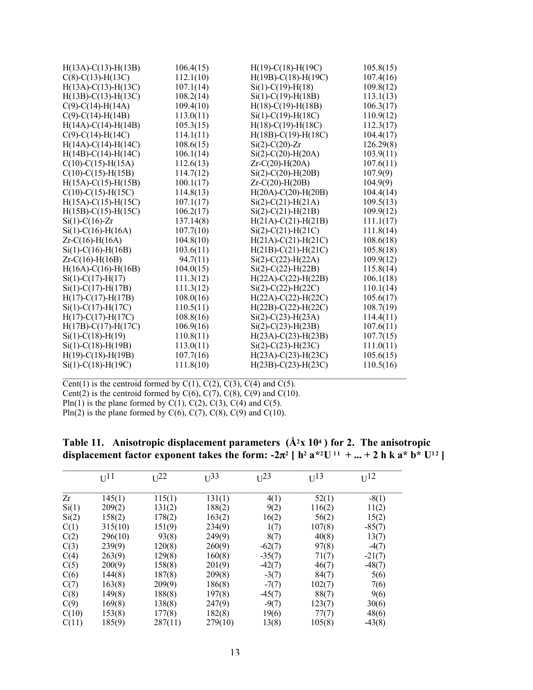| $H(13A)-C(13)-H(13B)$     | 106.4(15) | $H(19)-C(18)-H(19C)$      | 105.8(15) |
|---------------------------|-----------|---------------------------|-----------|
| $C(8)$ -C(13)-H(13C)      | 112.1(10) | $H(19B)-C(18)-H(19C)$     | 107.4(16) |
| $H(13A)-C(13)-H(13C)$     | 107.1(14) | $Si(1) - C(19) - H(18)$   | 109.8(12) |
| $H(13B)-C(13)-H(13C)$     | 108.2(14) | $Si(1) - C(19) - H(18B)$  | 113.1(13) |
| $C(9)$ -C(14)-H(14A)      | 109.4(10) | $H(18)-C(19)-H(18B)$      | 106.3(17) |
| $C(9)$ -C(14)-H(14B)      | 113.0(11) | $Si(1)$ -C(19)-H(18C)     | 110.9(12) |
| $H(14A)-C(14)-H(14B)$     | 105.3(15) | $H(18)-C(19)-H(18C)$      | 112.3(17) |
| $C(9)$ -C(14)-H(14C)      | 114.1(11) | $H(18B)-C(19)-H(18C)$     | 104.4(17) |
| $H(14A)-C(14)-H(14C)$     | 108.6(15) | $Si(2)$ -C $(20)$ -Zr     | 126.29(8) |
| $H(14B) - C(14) - H(14C)$ | 106.1(14) | $Si(2)$ -C(20)-H(20A)     | 103.9(11) |
| $C(10)-C(15)-H(15A)$      | 112.6(13) | $Zr-C(20) - H(20A)$       | 107.6(11) |
| $C(10)-C(15)-H(15B)$      | 114.7(12) | $Si(2)$ -C(20)-H(20B)     | 107.9(9)  |
| $H(15A)-C(15)-H(15B)$     | 100.1(17) | $Zr-C(20) - H(20B)$       | 104.9(9)  |
| $C(10)-C(15)-H(15C)$      | 114.8(13) | $H(20A) - C(20) - H(20B)$ | 104.4(14) |
| $H(15A)-C(15)-H(15C)$     | 107.1(17) | $Si(2) - C(21) - H(21A)$  | 109.5(13) |
| $H(15B) - C(15) - H(15C)$ | 106.2(17) | $Si(2) - C(21) - H(21B)$  | 109.9(12) |
| $Si(1) - C(16) - Zr$      | 137.14(8) | $H(21A)-C(21)-H(21B)$     | 111.1(17) |
| $Si(1) - C(16) - H(16A)$  | 107.7(10) | $Si(2)$ -C(21)-H(21C)     | 111.8(14) |
| $Zr-C(16) - H(16A)$       | 104.8(10) | $H(21A)-C(21)-H(21C)$     | 108.6(18) |
| $Si(1) - C(16) - H(16B)$  | 103.6(11) | $H(21B) - C(21) - H(21C)$ | 105.8(18) |
| $Zr-C(16) - H(16B)$       | 94.7(11)  | $Si(2)$ -C(22)-H(22A)     | 109.9(12) |
| $H(16A)-C(16)-H(16B)$     | 104.0(15) | $Si(2) - C(22) - H(22B)$  | 115.8(14) |
| $Si(1) - C(17) - H(17)$   | 111.3(12) | $H(22A)-C(22)-H(22B)$     | 106.1(18) |
| $Si(1) - C(17) - H(17B)$  | 111.3(12) | $Si(2)$ -C(22)-H(22C)     | 110.1(14) |
| $H(17) - C(17) - H(17B)$  | 108.0(16) | $H(22A)-C(22)-H(22C)$     | 105.6(17) |
| $Si(1) - C(17) - H(17C)$  | 110.5(11) | $H(22B) - C(22) - H(22C)$ | 108.7(19) |
| $H(17)-C(17)-H(17C)$      | 108.8(16) | $Si(2) - C(23) - H(23A)$  | 114.4(11) |
| $H(17B) - C(17) - H(17C)$ | 106.9(16) | $Si(2) - C(23) - H(23B)$  | 107.6(11) |
| $Si(1) - C(18) - H(19)$   | 110.8(11) | $H(23A) - C(23) - H(23B)$ | 107.7(15) |
| $Si(1) - C(18) - H(19B)$  | 113.0(11) | $Si(2) - C(23) - H(23C)$  | 111.0(11) |
| $H(19)-C(18)-H(19B)$      | 107.7(16) | $H(23A) - C(23) - H(23C)$ | 105.6(15) |
| $Si(1) - C(18) - H(19C)$  | 111.8(10) | $H(23B) - C(23) - H(23C)$ | 110.5(16) |
|                           |           |                           |           |

Cent(1) is the centroid formed by  $C(1)$ ,  $C(2)$ ,  $C(3)$ ,  $C(4)$  and  $C(5)$ . Cent(2) is the centroid formed by  $C(6)$ ,  $C(7)$ ,  $C(8)$ ,  $C(9)$  and  $C(10)$ . Pln(1) is the plane formed by  $C(1)$ ,  $C(2)$ ,  $C(3)$ ,  $C(4)$  and  $C(5)$ . Pln(2) is the plane formed by  $C(6)$ ,  $C(7)$ ,  $C(8)$ ,  $C(9)$  and  $C(10)$ .

| Table 11. Anisotropic displacement parameters $(A2x 104)$ for 2. The anisotropic                                                                                 |  |  |
|------------------------------------------------------------------------------------------------------------------------------------------------------------------|--|--|
| displacement factor exponent takes the form: $-2\pi^2$   h <sup>2</sup> a <sup>*2</sup> U <sup>11</sup> +  + 2 h k a <sup>*</sup> b <sup>*</sup> U <sup>12</sup> |  |  |

| $U^{11}$ | $U^{22}$ | $U^{33}$ | $U^{23}$ | $U^{13}$                               | $U^{12}$ |
|----------|----------|----------|----------|----------------------------------------|----------|
| 145(1)   | 115(1)   | 131(1)   | 4(1)     | 52(1)                                  | $-8(1)$  |
| 209(2)   | 131(2)   | 188(2)   | 9(2)     | 116(2)                                 | 11(2)    |
| 158(2)   | 178(2)   | 163(2)   |          | 56(2)                                  | 15(2)    |
| 315(10)  | 151(9)   | 234(9)   | 1(7)     | 107(8)                                 | $-85(7)$ |
| 296(10)  | 93(8)    | 249(9)   | 8(7)     | 40(8)                                  | 13(7)    |
| 239(9)   | 120(8)   | 260(9)   | $-62(7)$ | 97(8)                                  | $-4(7)$  |
| 263(9)   |          | 160(8)   |          |                                        | $-21(7)$ |
| 200(9)   | 158(8)   | 201(9)   |          | 46(7)                                  | $-48(7)$ |
| 144(8)   | 187(8)   | 209(8)   | $-3(7)$  | 84(7)                                  | 5(6)     |
| 163(8)   | 209(9)   | 186(8)   | $-7(7)$  | 102(7)                                 | 7(6)     |
| 149(8)   | 188(8)   | 197(8)   | $-45(7)$ | 88(7)                                  | 9(6)     |
| 169(8)   | 138(8)   | 247(9)   | $-9(7)$  | 123(7)                                 | 30(6)    |
| 153(8)   | 177(8)   | 182(8)   |          | 77(7)                                  | 48(6)    |
| 185(9)   | 287(11)  | 279(10)  | 13(8)    | 105(8)                                 | $-43(8)$ |
|          |          | 129(8)   |          | 16(2)<br>$-35(7)$<br>$-42(7)$<br>19(6) | 71(7)    |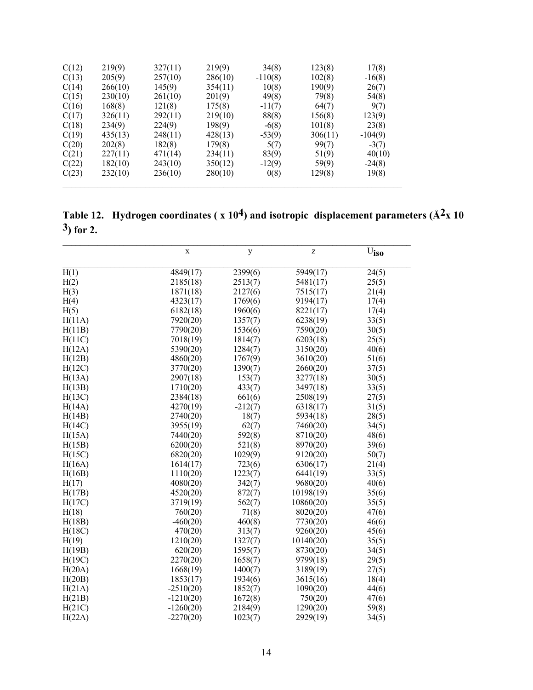| C(12) | 219(9)  | 327(11) | 219(9)  | 34(8)     | 123(8)  | 17(8)     |
|-------|---------|---------|---------|-----------|---------|-----------|
| C(13) | 205(9)  | 257(10) | 286(10) | $-110(8)$ | 102(8)  | $-16(8)$  |
| C(14) | 266(10) | 145(9)  | 354(11) | 10(8)     | 190(9)  | 26(7)     |
| C(15) | 230(10) | 261(10) | 201(9)  | 49(8)     | 79(8)   | 54(8)     |
| C(16) | 168(8)  | 121(8)  | 175(8)  | $-11(7)$  | 64(7)   | 9(7)      |
| C(17) | 326(11) | 292(11) | 219(10) | 88(8)     | 156(8)  | 123(9)    |
| C(18) | 234(9)  | 224(9)  | 198(9)  | $-6(8)$   | 101(8)  | 23(8)     |
| C(19) | 435(13) | 248(11) | 428(13) | $-53(9)$  | 306(11) | $-104(9)$ |
| C(20) | 202(8)  | 182(8)  | 179(8)  | 5(7)      | 99(7)   | $-3(7)$   |
| C(21) | 227(11) | 471(14) | 234(11) | 83(9)     | 51(9)   | 40(10)    |
| C(22) | 182(10) | 243(10) | 350(12) | $-12(9)$  | 59(9)   | $-24(8)$  |
| C(23) | 232(10) | 236(10) | 280(10) | 0(8)      | 129(8)  | 19(8)     |

Table 12. Hydrogen coordinates ( $x 10<sup>4</sup>$ ) and isotropic displacement parameters ( $\AA$ <sup>2</sup>x 10  $3)$  for 2.

|        | $\mathbf X$ | y         | Z         | $\rm \overline{U}_{\textnormal{iso}}$ |
|--------|-------------|-----------|-----------|---------------------------------------|
| H(1)   | 4849(17)    | 2399(6)   | 5949(17)  | 24(5)                                 |
| H(2)   | 2185(18)    | 2513(7)   | 5481(17)  | 25(5)                                 |
| H(3)   | 1871(18)    | 2127(6)   | 7515(17)  | 21(4)                                 |
| H(4)   | 4323(17)    | 1769(6)   | 9194(17)  | 17(4)                                 |
| H(5)   | 6182(18)    | 1960(6)   | 8221(17)  | 17(4)                                 |
| H(11A) | 7920(20)    | 1357(7)   | 6238(19)  | 33(5)                                 |
| H(11B) | 7790(20)    | 1536(6)   | 7590(20)  | 30(5)                                 |
| H(11C) | 7018(19)    | 1814(7)   | 6203(18)  | 25(5)                                 |
| H(12A) | 5390(20)    | 1284(7)   | 3150(20)  | 40(6)                                 |
| H(12B) | 4860(20)    | 1767(9)   | 3610(20)  | 51(6)                                 |
| H(12C) | 3770(20)    | 1390(7)   | 2660(20)  | 37(5)                                 |
| H(13A) | 2907(18)    | 153(7)    | 3277(18)  | 30(5)                                 |
| H(13B) | 1710(20)    | 433(7)    | 3497(18)  | 33(5)                                 |
| H(13C) | 2384(18)    | 661(6)    | 2508(19)  | 27(5)                                 |
| H(14A) | 4270(19)    | $-212(7)$ | 6318(17)  | 31(5)                                 |
| H(14B) | 2740(20)    | 18(7)     | 5934(18)  | 28(5)                                 |
| H(14C) | 3955(19)    | 62(7)     | 7460(20)  | 34(5)                                 |
| H(15A) | 7440(20)    | 592(8)    | 8710(20)  | 48(6)                                 |
| H(15B) | 6200(20)    | 521(8)    | 8970(20)  | 39(6)                                 |
| H(15C) | 6820(20)    | 1029(9)   | 9120(20)  | 50(7)                                 |
| H(16A) | 1614(17)    | 723(6)    | 6306(17)  | 21(4)                                 |
| H(16B) | 1110(20)    | 1223(7)   | 6441(19)  | 33(5)                                 |
| H(17)  | 4080(20)    | 342(7)    | 9680(20)  | 40(6)                                 |
| H(17B) | 4520(20)    | 872(7)    | 10198(19) | 35(6)                                 |
| H(17C) | 3719(19)    | 562(7)    | 10860(20) | 35(5)                                 |
| H(18)  | 760(20)     | 71(8)     | 8020(20)  | 47(6)                                 |
| H(18B) | $-460(20)$  | 460(8)    | 7730(20)  | 46(6)                                 |
| H(18C) | 470(20)     | 313(7)    | 9260(20)  | 45(6)                                 |
| H(19)  | 1210(20)    | 1327(7)   | 10140(20) | 35(5)                                 |
| H(19B) | 620(20)     | 1595(7)   | 8730(20)  | 34(5)                                 |
| H(19C) | 2270(20)    | 1658(7)   | 9799(18)  | 29(5)                                 |
| H(20A) | 1668(19)    | 1400(7)   | 3189(19)  | 27(5)                                 |
| H(20B) | 1853(17)    | 1934(6)   | 3615(16)  | 18(4)                                 |
| H(21A) | $-2510(20)$ | 1852(7)   | 1090(20)  | 44(6)                                 |
| H(21B) | $-1210(20)$ | 1672(8)   | 750(20)   | 47(6)                                 |
| H(21C) | $-1260(20)$ | 2184(9)   | 1290(20)  | 59(8)                                 |
| H(22A) | $-2270(20)$ | 1023(7)   | 2929(19)  | 34(5)                                 |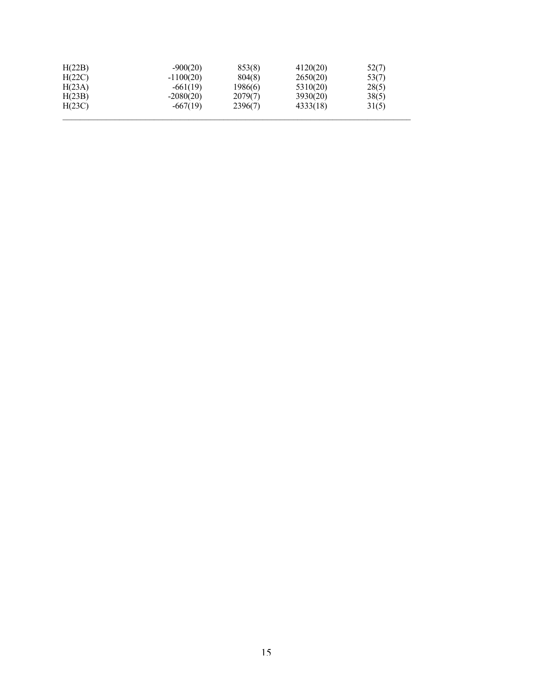| H(22B) | $-900(20)$  | 853(8)  | 4120(20) | 52(7) |
|--------|-------------|---------|----------|-------|
| H(22C) | $-1100(20)$ | 804(8)  | 2650(20) | 53(7) |
| H(23A) | $-661(19)$  | 1986(6) | 5310(20) | 28(5) |
| H(23B) | $-2080(20)$ | 2079(7) | 3930(20) | 38(5) |
| H(23C) | $-667(19)$  | 2396(7) | 4333(18) | 31(5) |
|        |             |         |          |       |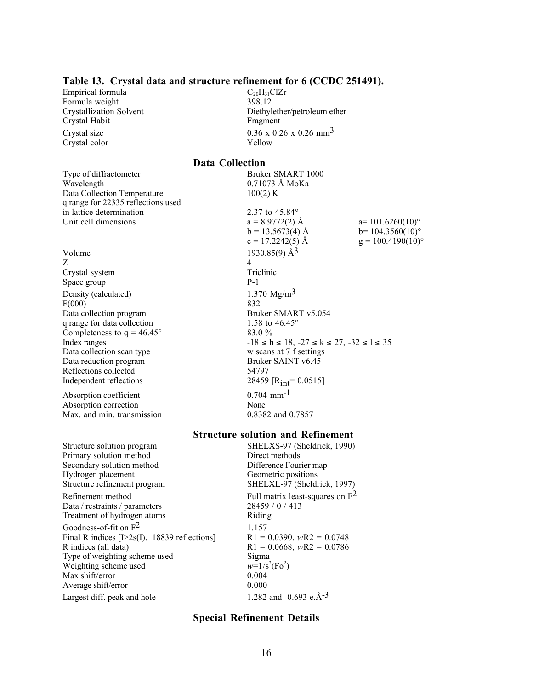#### Table 13. Crystal data and structure refinement for 6 (CCDC 251491).

Empirical formula<br>
Formula weight  $C_{20}H_{31}ClZr$ <br>  $398.12$ Formula weight Crystal Habit Fragment Crystal color Yellow

Type of diffractometer Bruker SMART 1000 Wavelength 0.71073 Å MoKa Data Collection Temperature 100(2) K q range for 22335 reflections used in lattice determination 2.37 to 45.84°

Volume  $1930.85(9)$   $\AA^3$  $Z \qquad \qquad 4$ Crystal system Triclinic Space group P-1 Density (calculated)  $1.370 \text{ Mg/m}^3$  $F(000)$  832 Data collection program Bruker SMART v5.054 q range for data collection 1.58 to  $46.45^{\circ}$ <br>Completeness to  $q = 46.45^{\circ}$  83.0 % Completeness to  $q = 46.45^\circ$ Data collection scan type Data reduction program Bruker SAINT v6.45 Reflections collected 54797 Independent reflections  $28459 \text{ [R}_{int} = 0.0515 \text{]}$ 

Absorption coefficient  $0.704 \text{ mm}^{-1}$ Absorption correction None Max. and min. transmission 0.8382 and 0.7857

Structure solution program SHELXS-97 (Sheldrick, 1990)<br>
Primary solution method Direct methods Primary solution method Secondary solution method Difference Fourier map Hydrogen placement<br>Structure refinement program<br>SHELXL-97 (Sheldr Refinement method Full matrix least-squares on  $F<sup>2</sup>$ Data / restraints / parameters 28459 / 0 / 413 Treatment of hydrogen atoms Riding Goodness-of-fit on  $F^2$  1.157 Final R indices [I>2s(I), 18839 reflections]  $R1 = 0.0390$ ,  $wR2 = 0.0748$ <br>R indices (all data)  $R1 = 0.0668$ ,  $wR2 = 0.0786$ Type of weighting scheme used Sigma Weighting scheme used  $w=1/s$ <br>Max shift/error 0.004 Max shift/error Average shift/error 0.000

Crystallization Solvent Diethylether/petroleum ether Crystal size  $0.36 \times 0.26 \times 0.26$  mm<sup>3</sup>

#### Data Collection

Unit cell dimensions  $a = 8.9772(2)$  Å  $a = 101.6260(10)°$ b = 13.5673(4) Å b = 104.3560(10)°<br>c = 17.2242(5) Å g =  $100.4190(10)$ °  $g = 100.4190(10)$ ° Index ranges  $-18 \le h \le 18$ ,  $-27 \le k \le 27$ ,  $-32 \le l \le 35$ <br>Data collection scan type w scans at 7 f settings

#### Structure solution and Refinement

SHELXL-97 (Sheldrick, 1997)  $R1 = 0.0668$ , *wR2* = 0.0786  $(Fo^2)$ Largest diff. peak and hole  $1.282$  and  $-0.693$  e.Å $^{-3}$ 

#### Special Refinement Details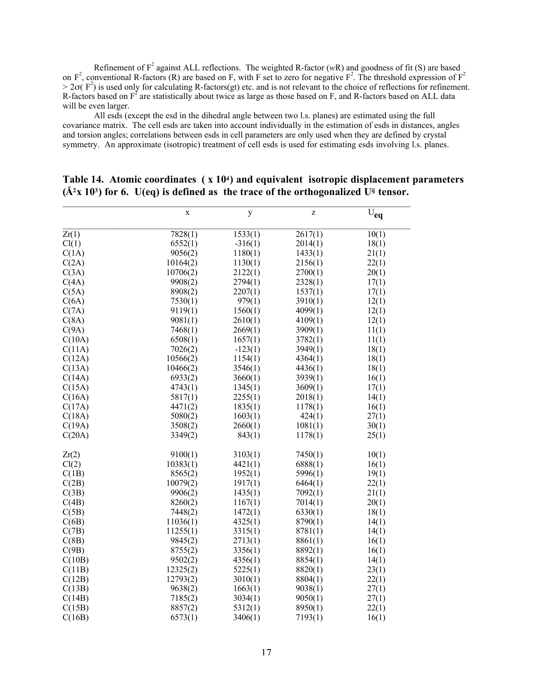Refinement of  $F^2$  against ALL reflections. The weighted R-factor  $(wR)$  and goodness of fit (S) are based on  $F^2$ , conventional R-factors (R) are based on F, with F set to zero for negative  $F^2$ . The threshold expression of  $F^2$  $> 2\sigma$ ( $F^2$ ) is used only for calculating R-factors(gt) etc. and is not relevant to the choice of reflections for refinement. R-factors based on  $F^2$  are statistically about twice as large as those based on F, and R-factors based on ALL data will be even larger.

All esds (except the esd in the dihedral angle between two l.s. planes) are estimated using the full covariance matrix. The cell esds are taken into account individually in the estimation of esds in distances, angles and torsion angles; correlations between esds in cell parameters are only used when they are defined by crystal symmetry. An approximate (isotropic) treatment of cell esds is used for estimating esds involving l.s. planes.

|        | $\overline{\mathbf{X}}$ | y         | Z       | $\rm \bar{\rm U}_{eq}$ |
|--------|-------------------------|-----------|---------|------------------------|
| Zr(1)  | 7828(1)                 | 1533(1)   | 2617(1) | 10(1)                  |
| Cl(1)  | 6552(1)                 | $-316(1)$ | 2014(1) | 18(1)                  |
| C(1A)  | 9056(2)                 | 1180(1)   | 1433(1) | 21(1)                  |
| C(2A)  | 10164(2)                | 1130(1)   | 2156(1) | 22(1)                  |
| C(3A)  | 10706(2)                | 2122(1)   | 2700(1) | 20(1)                  |
| C(4A)  | 9908(2)                 | 2794(1)   | 2328(1) | 17(1)                  |
| C(5A)  | 8908(2)                 | 2207(1)   | 1537(1) | 17(1)                  |
| C(6A)  | 7530(1)                 | 979(1)    | 3910(1) | 12(1)                  |
| C(7A)  | 9119(1)                 | 1560(1)   | 4099(1) | 12(1)                  |
| C(8A)  | 9081(1)                 | 2610(1)   | 4109(1) | 12(1)                  |
| C(9A)  | 7468(1)                 | 2669(1)   | 3909(1) | 11(1)                  |
| C(10A) | 6508(1)                 | 1657(1)   | 3782(1) | 11(1)                  |
| C(11A) | 7026(2)                 | $-123(1)$ | 3949(1) | 18(1)                  |
| C(12A) | 10566(2)                | 1154(1)   | 4364(1) | 18(1)                  |
| C(13A) | 10466(2)                | 3546(1)   | 4436(1) | 18(1)                  |
| C(14A) | 6933(2)                 | 3660(1)   | 3939(1) | 16(1)                  |
| C(15A) | 4743(1)                 | 1345(1)   | 3609(1) | 17(1)                  |
| C(16A) | 5817(1)                 | 2255(1)   | 2018(1) | 14(1)                  |
| C(17A) | 4471(2)                 | 1835(1)   | 1178(1) | 16(1)                  |
| C(18A) | 5080(2)                 | 1603(1)   | 424(1)  | 27(1)                  |
| C(19A) | 3508(2)                 | 2660(1)   | 1081(1) | 30(1)                  |
| C(20A) | 3349(2)                 | 843(1)    | 1178(1) | 25(1)                  |
| Zr(2)  | 9100(1)                 | 3103(1)   | 7450(1) | 10(1)                  |
| Cl(2)  | 10383(1)                | 4421(1)   | 6888(1) | 16(1)                  |
| C(1B)  | 8565(2)                 | 1952(1)   | 5996(1) | 19(1)                  |
| C(2B)  | 10079(2)                | 1917(1)   | 6464(1) | 22(1)                  |
| C(3B)  | 9906(2)                 | 1435(1)   | 7092(1) | 21(1)                  |
| C(4B)  | 8260(2)                 | 1167(1)   | 7014(1) | 20(1)                  |
| C(5B)  | 7448(2)                 | 1472(1)   | 6330(1) | 18(1)                  |
| C(6B)  | 11036(1)                | 4325(1)   | 8790(1) | 14(1)                  |
| C(7B)  | 11255(1)                | 3315(1)   | 8781(1) | 14(1)                  |
| C(8B)  | 9845(2)                 | 2713(1)   | 8861(1) | 16(1)                  |
| C(9B)  | 8755(2)                 | 3356(1)   | 8892(1) | 16(1)                  |
| C(10B) | 9502(2)                 | 4356(1)   | 8854(1) | 14(1)                  |
| C(11B) | 12325(2)                | 5225(1)   | 8820(1) | 23(1)                  |
| C(12B) | 12793(2)                | 3010(1)   | 8804(1) | 22(1)                  |
| C(13B) | 9638(2)                 | 1663(1)   | 9038(1) | 27(1)                  |
| C(14B) | 7185(2)                 | 3034(1)   | 9050(1) | 27(1)                  |
| C(15B) | 8857(2)                 | 5312(1)   | 8950(1) | 22(1)                  |
| C(16B) | 6573(1)                 | 3406(1)   | 7193(1) | 16(1)                  |

#### Table 14. Atomic coordinates (x 104) and equivalent isotropic displacement parameters  $(A<sup>2</sup>x 10<sup>3</sup>)$  for 6. U(eq) is defined as the trace of the orthogonalized U<sup>ij</sup> tensor.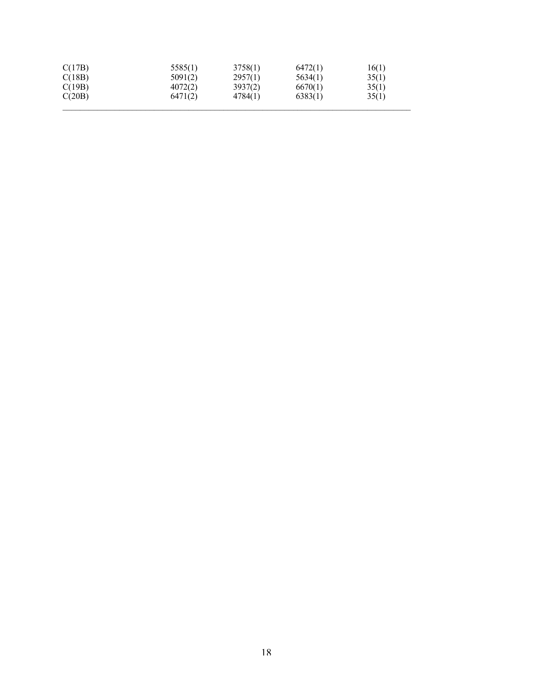| C(17B)<br>C(18B) | 5585(1)<br>5091(2) | 3758(1)<br>2957(1) | 6472(1)<br>5634(1) | 16(1)<br>35(1) |
|------------------|--------------------|--------------------|--------------------|----------------|
| C(19B)           | 4072(2)            | 3937(2)            | 6670(1)            | 35(1)          |
| C(20B)           | 6471(2)            | 4784(1)            | 6383(1)            | 35(1)          |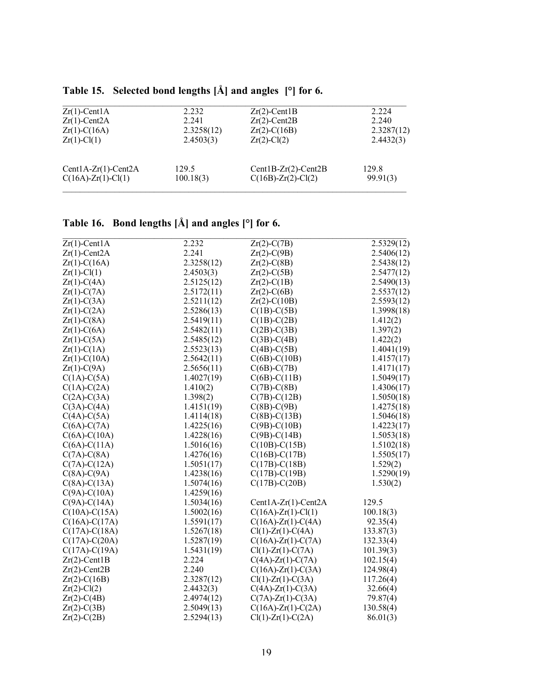| $Zr(1)$ -CentlA              | 2.232      | $Zr(2)$ -Cent1B          | 2.224      |
|------------------------------|------------|--------------------------|------------|
| $Zr(1)$ -Cent $2A$           | 2.241      | $Zr(2)$ -Cent2B          | 2.240      |
| $Zr(1)-C(16A)$               | 2.3258(12) | $Zr(2)$ -C(16B)          | 2.3287(12) |
| $Zr(1) - Cl(1)$              | 2.4503(3)  | $Zr(2)$ -Cl(2)           | 2.4432(3)  |
| $Cent1A-Zr(1)-Cent2A$        | 129.5      | $Cent1B-Zr(2)-Cent2B$    | 129.8      |
| $C(16A)$ - $Zr(1)$ - $Cl(1)$ | 100.18(3)  | $C(16B) - Zr(2) - Cl(2)$ | 99.91(3)   |
|                              |            |                          |            |

# Table 15. Selected bond lengths [Å] and angles [°] for 6.

# Table 16. Bond lengths [Å] and angles [°] for 6.

| $Zr(1)$ -CentlA    | 2.232      | $Zr(2)-C(7B)$                | 2.5329(12) |
|--------------------|------------|------------------------------|------------|
| $Zr(1)$ -Cent $2A$ | 2.241      | $Zr(2)-C(9B)$                | 2.5406(12) |
| $Zr(1)-C(16A)$     | 2.3258(12) | $Zr(2)$ -C(8B)               | 2.5438(12) |
| $Zr(1)$ -Cl(1)     | 2.4503(3)  | $Zr(2)-C(5B)$                | 2.5477(12) |
| $Zr(1)-C(4A)$      | 2.5125(12) | $Zr(2)-C(1B)$                | 2.5490(13) |
| $Zr(1)-C(7A)$      | 2.5172(11) | $Zr(2)-C(6B)$                | 2.5537(12) |
| $Zr(1)-C(3A)$      | 2.5211(12) | $Zr(2)-C(10B)$               | 2.5593(12) |
| $Zr(1)-C(2A)$      | 2.5286(13) | $C(1B)-C(5B)$                | 1.3998(18) |
| $Zr(1)-C(8A)$      | 2.5419(11) | $C(1B)-C(2B)$                | 1.412(2)   |
| $Zr(1)-C(6A)$      | 2.5482(11) | $C(2B)$ -C(3B)               | 1.397(2)   |
| $Zr(1)-C(5A)$      | 2.5485(12) | $C(3B) - C(4B)$              | 1.422(2)   |
| $Zr(1)-C(1A)$      | 2.5523(13) | $C(4B)$ - $C(5B)$            | 1.4041(19) |
| $Zr(1)-C(10A)$     | 2.5642(11) | $C(6B)$ - $C(10B)$           | 1.4157(17) |
| $Zr(1)-C(9A)$      | 2.5656(11) | $C(6B)$ -C(7B)               | 1.4171(17) |
| $C(1A)-C(5A)$      | 1.4027(19) | $C(6B) - C(11B)$             | 1.5049(17) |
| $C(1A)-C(2A)$      | 1.410(2)   | $C(7B)$ - $C(8B)$            | 1.4306(17) |
| $C(2A)-C(3A)$      | 1.398(2)   | $C(7B)$ - $C(12B)$           | 1.5050(18) |
| $C(3A)-C(4A)$      | 1.4151(19) | $C(8B)-C(9B)$                | 1.4275(18) |
| $C(4A)-C(5A)$      | 1.4114(18) | $C(8B) - C(13B)$             | 1.5046(18) |
| $C(6A)-C(7A)$      | 1.4225(16) | $C(9B) - C(10B)$             | 1.4223(17) |
| $C(6A) - C(10A)$   | 1.4228(16) | $C(9B)$ -C(14B)              | 1.5053(18) |
| $C(6A) - C(11A)$   | 1.5016(16) | $C(10B) - C(15B)$            | 1.5102(18) |
| $C(7A)-C(8A)$      | 1.4276(16) | $C(16B) - C(17B)$            | 1.5505(17) |
| $C(7A)-C(12A)$     | 1.5051(17) | $C(17B) - C(18B)$            | 1.529(2)   |
| $C(8A)-C(9A)$      | 1.4238(16) | $C(17B) - C(19B)$            | 1.5290(19) |
| $C(8A)-C(13A)$     | 1.5074(16) | $C(17B)$ -C $(20B)$          | 1.530(2)   |
| $C(9A)-C(10A)$     | 1.4259(16) |                              |            |
| $C(9A)-C(14A)$     | 1.5034(16) | Cent1A-Zr(1)-Cent2A          | 129.5      |
| $C(10A) - C(15A)$  | 1.5002(16) | $C(16A) - Zr(1) - Cl(1)$     | 100.18(3)  |
| $C(16A) - C(17A)$  | 1.5591(17) | $C(16A)$ - $Zr(1)$ - $C(4A)$ | 92.35(4)   |
| $C(17A) - C(18A)$  | 1.5267(18) | $Cl(1)$ -Zr(1)-C(4A)         | 133.87(3)  |
| $C(17A)-C(20A)$    | 1.5287(19) | $C(16A)$ -Zr(1)-C(7A)        | 132.33(4)  |
| $C(17A) - C(19A)$  | 1.5431(19) | $Cl(1)$ - $Zr(1)$ - $C(7A)$  | 101.39(3)  |
| $Zr(2)$ -Cent1B    | 2.224      | $C(4A) - Zr(1) - C(7A)$      | 102.15(4)  |
| $Zr(2)$ -Cent2B    | 2.240      | $C(16A) - Zr(1) - C(3A)$     | 124.98(4)  |
| $Zr(2)-C(16B)$     | 2.3287(12) | $Cl(1)$ -Zr(1)-C(3A)         | 117.26(4)  |
| $Zr(2)$ -Cl(2)     | 2.4432(3)  | $C(4A) - Zr(1) - C(3A)$      | 32.66(4)   |
| $Zr(2)-C(4B)$      | 2.4974(12) | $C(7A)$ - $Zr(1)$ - $C(3A)$  | 79.87(4)   |
| $Zr(2)-C(3B)$      | 2.5049(13) | $C(16A)$ -Zr(1)-C(2A)        | 130.58(4)  |
| $Zr(2)-C(2B)$      | 2.5294(13) | $Cl(1)$ -Zr(1)-C(2A)         | 86.01(3)   |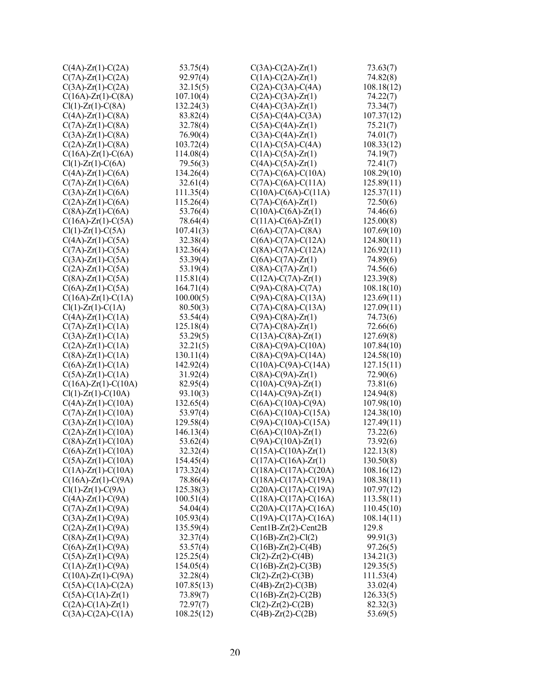| $C(4A)$ -Zr(1)-C(2A)          | 53.75(4)               | $C(3A) - C(2A) - Zr(1)$     | 73.63(7)              |
|-------------------------------|------------------------|-----------------------------|-----------------------|
| $C(7A)$ -Zr(1)-C(2A)          | 92.97(4)               | $C(1A)-C(2A)-Zr(1)$         | 74.82(8)              |
| $C(3A)$ -Zr(1)-C(2A)          | 32.15(5)               | $C(2A)$ -C(3A)-C(4A)        | 108.18(12)            |
| $C(16A) - Zr(1) - C(8A)$      | 107.10(4)              | $C(2A) - C(3A) - Zr(1)$     | 74.22(7)              |
| $Cl(1)$ - $Zr(1)$ - $C(8A)$   | 132.24(3)              | $C(4A) - C(3A) - Zr(1)$     | 73.34(7)              |
| $C(4A)$ -Zr(1)-C(8A)          | 83.82(4)               | $C(5A)-C(4A)-C(3A)$         | 107.37(12)            |
| $C(7A)$ -Zr(1)-C(8A)          | 32.78(4)               | $C(5A) - C(4A) - Zr(1)$     | 75.21(7)              |
| $C(3A)$ -Zr(1)-C(8A)          | 76.90(4)               | $C(3A) - C(4A) - Zr(1)$     | 74.01(7)              |
| $C(2A)$ -Zr(1)-C(8A)          | 103.72(4)              | $C(1A)-C(5A)-C(4A)$         | 108.33(12)            |
| $C(16A) - Zr(1) - C(6A)$      | 114.08(4)              | $C(1A)-C(5A)-Zr(1)$         | 74.19(7)              |
| $Cl(1)$ - $Zr(1)$ - $C(6A)$   | 79.56(3)               | $C(4A) - C(5A) - Zr(1)$     | 72.41(7)              |
| $C(4A)$ -Zr(1)-C(6A)          | 134.26(4)              | $C(7A)$ -C(6A)-C(10A)       | 108.29(10)            |
| $C(7A)$ -Zr(1)-C(6A)          | 32.61(4)               | $C(7A) - C(6A) - C(11A)$    | 125.89(11)            |
| $C(3A)$ -Zr(1)-C(6A)          | 111.35(4)              | $C(10A) - C(6A) - C(11A)$   | 125.37(11)            |
| $C(2A)$ -Zr(1)-C(6A)          | 115.26(4)              | $C(7A) - C(6A) - Zr(1)$     | 72.50(6)              |
| $C(8A)$ -Zr(1)-C(6A)          | 53.76(4)               | $C(10A) - C(6A) - Zr(1)$    | 74.46(6)              |
| $C(16A)$ - $Zr(1)$ - $C(5A)$  | 78.64(4)               | $C(11A) - C(6A) - Zr(1)$    | 125.00(8)             |
| $Cl(1)$ - $Zr(1)$ - $C(5A)$   | 107.41(3)              | $C(6A)$ -C(7A)-C(8A)        | 107.69(10)            |
| $C(4A)$ -Zr(1)-C(5A)          | 32.38(4)               | $C(6A)$ -C(7A)-C(12A)       | 124.80(11)            |
| $C(7A)$ -Zr(1)-C(5A)          | 132.36(4)              | $C(8A) - C(7A) - C(12A)$    | 126.92(11)            |
| $C(3A)$ -Zr(1)-C(5A)          | 53.39(4)               | $C(6A) - C(7A) - Zr(1)$     | 74.89(6)              |
| $C(2A)$ - $Zr(1)$ - $C(5A)$   | 53.19(4)               | $C(8A)-C(7A)-Zr(1)$         | 74.56(6)              |
| $C(8A)$ -Zr(1)-C(5A)          | 115.81(4)              | $C(12A)-C(7A)-Zr(1)$        | 123.39(8)             |
| $C(6A)$ -Zr(1)-C(5A)          | 164.71(4)              | $C(9A)$ -C(8A)-C(7A)        | 108.18(10)            |
| $C(16A)$ -Zr(1)-C(1A)         | 100.00(5)              | $C(9A) - C(8A) - C(13A)$    | 123.69(11)            |
| $Cl(1)$ - $Zr(1)$ - $C(1A)$   | 80.50(3)               | $C(7A) - C(8A) - C(13A)$    | 127.09(11)            |
| $C(4A)$ -Zr(1)-C(1A)          | 53.54(4)               | $C(9A) - C(8A) - Zr(1)$     | 74.73(6)              |
| $C(7A)$ - $Zr(1)$ - $C(1A)$   | 125.18(4)              | $C(7A) - C(8A) - Zr(1)$     | 72.66(6)              |
| $C(3A)$ -Zr(1)-C(1A)          | 53.29(5)               | $C(13A) - C(8A) - Zr(1)$    | 127.69(8)             |
| $C(2A)$ -Zr(1)-C(1A)          | 32.21(5)               | $C(8A)-C(9A)-C(10A)$        | 107.84(10)            |
| $C(8A)$ -Zr(1)-C(1A)          | 130.11(4)              | $C(8A) - C(9A) - C(14A)$    | 124.58(10)            |
| $C(6A)$ -Zr(1)-C(1A)          | 142.92(4)              | $C(10A) - C(9A) - C(14A)$   | 127.15(11)            |
| $C(5A)$ -Zr(1)-C(1A)          | 31.92(4)               | $C(8A)-C(9A)-Zr(1)$         | 72.90(6)              |
| $C(16A)$ - $Zr(1)$ - $C(10A)$ | 82.95(4)               | $C(10A) - C(9A) - Zr(1)$    | 73.81(6)              |
| $Cl(1)$ - $Zr(1)$ - $C(10A)$  | 93.10(3)               | $C(14A) - C(9A) - Zr(1)$    | 124.94(8)             |
| $C(4A)$ -Zr(1)-C(10A)         | 132.65(4)              | $C(6A) - C(10A) - C(9A)$    | 107.98(10)            |
| $C(7A)$ -Zr(1)-C(10A)         | 53.97(4)               | $C(6A) - C(10A) - C(15A)$   | 124.38(10)            |
| $C(3A)$ -Zr(1)-C(10A)         | 129.58(4)              | $C(9A) - C(10A) - C(15A)$   | 127.49(11)            |
| $C(2A)$ -Zr(1)-C(10A)         | 146.13(4)              | $C(6A) - C(10A) - Zr(1)$    | 73.22(6)              |
| $C(8A)$ -Zr(1)-C(10A)         | 53.62(4)               | $C(9A) - C(10A) - Zr(1)$    | 73.92(6)              |
| $C(6A)$ -Zr(1)-C(10A)         | 32.32(4)               | $C(15A) - C(10A) - Zr(1)$   | 122.13(8)             |
| $C(5A)$ -Zr(1)-C(10A)         | 154.45(4)              | $C(17A) - C(16A) - Zr(1)$   | 130.50(8)             |
| $C(1A)$ - $Zr(1)$ - $C(10A)$  | 173.32(4)              | $C(18A) - C(17A) - C(20A)$  | 108.16(12)            |
| $C(16A)$ - $Zr(1)$ - $C(9A)$  | 78.86(4)               | $C(18A) - C(17A) - C(19A)$  | 108.38(11)            |
| $Cl(1)$ -Zr(1)-C(9A)          | 125.38(3)              | $C(20A) - C(17A) - C(19A)$  | 107.97(12)            |
| $C(4A)$ -Zr(1)-C(9A)          | 100.51(4)              | $C(18A) - C(17A) - C(16A)$  | 113.58(11)            |
| $C(7A)$ -Zr(1)-C(9A)          | 54.04(4)               | $C(20A) - C(17A) - C(16A)$  | 110.45(10)            |
| $C(3A)$ -Zr(1)-C(9A)          | 105.93(4)              | $C(19A) - C(17A) - C(16A)$  | 108.14(11)            |
| $C(2A)$ -Zr(1)-C(9A)          | 135.59(4)              | $Cent1B-Zr(2)-Cent2B$       | 129.8                 |
| $C(8A)$ -Zr(1)-C(9A)          | 32.37(4)               | $C(16B) - Zr(2) - Cl(2)$    | 99.91(3)              |
| $C(6A)$ -Zr(1)-C(9A)          | 53.57(4)               | $C(16B)$ -Zr(2)-C(4B)       | 97.26(5)              |
| $C(5A)$ -Zr(1)-C(9A)          | 125.25(4)              | $Cl(2)$ - $Zr(2)$ - $C(4B)$ | 134.21(3)             |
| $C(1A)$ - $Zr(1)$ - $C(9A)$   | 154.05(4)              |                             | 129.35(5)             |
|                               | 32.28(4)               | $C(16B) - Zr(2) - C(3B)$    |                       |
| $C(10A) - Zr(1) - C(9A)$      |                        | $Cl(2)$ - $Zr(2)$ - $C(3B)$ | 111.53(4)<br>33.02(4) |
| $C(5A) - C(1A) - C(2A)$       | 107.85(13)<br>73.89(7) | $C(4B)$ - $Zr(2)$ - $C(3B)$ | 126.33(5)             |
| $C(5A) - C(1A) - Zr(1)$       |                        | $C(16B)$ -Zr(2)-C(2B)       |                       |
| $C(2A) - C(1A) - Zr(1)$       | 72.97(7)               | $Cl(2)$ -Zr(2)-C(2B)        | 82.32(3)              |
| $C(3A)-C(2A)-C(1A)$           | 108.25(12)             | $C(4B)$ - $Zr(2)$ - $C(2B)$ | 53.69(5)              |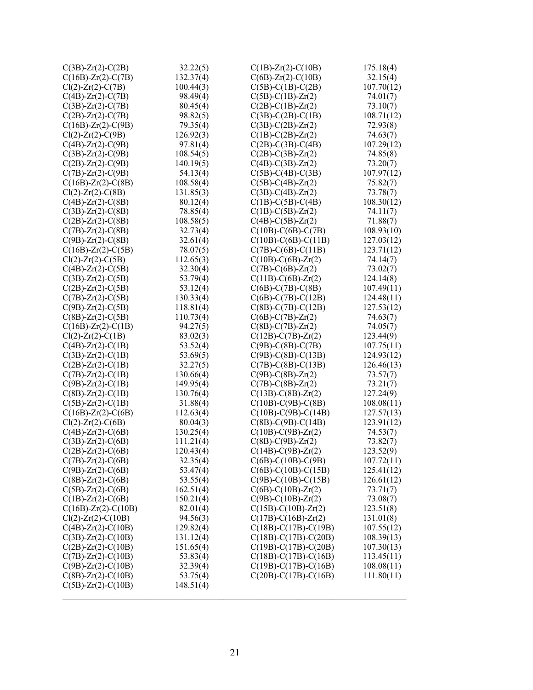| $C(3B)$ -Zr(2)-C(2B)                                       | 32.22(5)               | $C(1B)$ -Zr(2)-C(10B)                                   | 175.18(4)               |
|------------------------------------------------------------|------------------------|---------------------------------------------------------|-------------------------|
| $C(16B)$ -Zr(2)-C(7B)                                      | 132.37(4)              | $C(6B)$ -Zr(2)-C(10B)                                   | 32.15(4)                |
| $Cl(2)$ - $Zr(2)$ - $C(7B)$                                | 100.44(3)              | $C(5B)$ -C(1B)-C(2B)                                    | 107.70(12)              |
| $C(4B)$ - $Zr(2)$ - $C(7B)$                                | 98.49(4)               | $C(5B) - C(1B) - Zr(2)$                                 | 74.01(7)                |
| $C(3B)$ -Zr(2)-C(7B)                                       | 80.45(4)               | $C(2B) - C(1B) - Zr(2)$                                 | 73.10(7)                |
| $C(2B)$ - $Zr(2)$ - $C(7B)$                                | 98.82(5)               | $C(3B)$ -C(2B)-C(1B)                                    | 108.71(12)              |
| $C(16B) - Zr(2) - C(9B)$                                   | 79.35(4)               | $C(3B) - C(2B) - Zr(2)$                                 | 72.93(8)                |
| $Cl(2)$ - $Zr(2)$ - $C(9B)$                                | 126.92(3)              | $C(1B) - C(2B) - Zr(2)$                                 | 74.63(7)                |
| $C(4B) - Zr(2) - C(9B)$                                    | 97.81(4)               | $C(2B)$ -C(3B)-C(4B)                                    | 107.29(12)              |
| $C(3B) - Zr(2) - C(9B)$                                    | 108.54(5)              | $C(2B) - C(3B) - Zr(2)$                                 | 74.85(8)                |
| $C(2B)$ - $Zr(2)$ - $C(9B)$                                | 140.19(5)              | $C(4B) - C(3B) - Zr(2)$                                 | 73.20(7)                |
| $C(7B)$ -Zr(2)-C(9B)                                       | 54.13(4)               | $C(5B)$ -C(4B)-C(3B)                                    | 107.97(12)              |
| $C(16B)$ -Zr(2)-C(8B)                                      | 108.58(4)              | $C(5B)-C(4B)-Zr(2)$                                     | 75.82(7)                |
| $Cl(2)$ - $Zr(2)$ - $C(8B)$                                | 131.85(3)              | $C(3B) - C(4B) - Zr(2)$                                 | 73.78(7)                |
| $C(4B)$ - $Zr(2)$ - $C(8B)$                                | 80.12(4)               | $C(1B)-C(5B)-C(4B)$                                     | 108.30(12)              |
| $C(3B)$ -Zr(2)-C(8B)                                       | 78.85(4)               | $C(1B) - C(5B) - Zr(2)$                                 | 74.11(7)                |
| $C(2B)$ - $Zr(2)$ - $C(8B)$                                | 108.58(5)              | $C(4B) - C(5B) - Zr(2)$                                 | 71.88(7)                |
| $C(7B)$ - $Zr(2)$ - $C(8B)$                                | 32.73(4)               | $C(10B) - C(6B) - C(7B)$                                | 108.93(10)              |
| $C(9B)$ - $Zr(2)$ - $C(8B)$                                | 32.61(4)               | $C(10B) - C(6B) - C(11B)$                               | 127.03(12)              |
| $C(16B)$ -Zr(2)-C(5B)                                      | 78.07(5)               | $C(7B) - C(6B) - C(11B)$                                | 123.71(12)              |
| $Cl(2)$ -Zr(2)-C(5B)                                       | 112.65(3)              | $C(10B) - C(6B) - Zr(2)$                                | 74.14(7)                |
| $C(4B)$ -Zr(2)-C(5B)                                       | 32.30(4)               | $C(7B) - C(6B) - Zr(2)$                                 | 73.02(7)                |
|                                                            |                        | $C(11B) - C(6B) - Zr(2)$                                |                         |
| $C(3B)$ - $Zr(2)$ - $C(5B)$                                | 53.79(4)               | $C(6B)$ -C(7B)-C(8B)                                    | 124.14(8)<br>107.49(11) |
| $C(2B)$ -Zr $(2)$ -C $(5B)$<br>$C(7B)$ -Zr(2)-C(5B)        | 53.12(4)               |                                                         | 124.48(11)              |
| $C(9B)$ -Zr(2)-C(5B)                                       | 130.33(4)<br>118.81(4) | $C(6B) - C(7B) - C(12B)$<br>$C(8B) - C(7B) - C(12B)$    | 127.53(12)              |
| $C(8B)$ -Zr(2)-C(5B)                                       | 110.73(4)              | $C(6B)$ -C(7B)-Zr(2)                                    |                         |
| $C(16B)$ -Zr(2)-C(1B)                                      | 94.27(5)               |                                                         | 74.63(7)<br>74.05(7)    |
|                                                            | 83.02(3)               | $C(8B) - C(7B) - Zr(2)$                                 | 123.44(9)               |
| $Cl(2)$ - $Zr(2)$ - $C(1B)$                                | 53.52(4)               | $C(12B) - C(7B) - Zr(2)$<br>$C(9B)$ -C $(8B)$ -C $(7B)$ | 107.75(11)              |
| $C(4B)$ - $Zr(2)$ - $C(1B)$<br>$C(3B)$ - $Zr(2)$ - $C(1B)$ | 53.69(5)               | $C(9B) - C(8B) - C(13B)$                                | 124.93(12)              |
| $C(2B)$ - $Zr(2)$ - $C(1B)$                                | 32.27(5)               | $C(7B) - C(8B) - C(13B)$                                | 126.46(13)              |
| $C(7B)$ -Zr(2)-C(1B)                                       | 130.66(4)              | $C(9B) - C(8B) - Zr(2)$                                 | 73.57(7)                |
| $C(9B)$ - $Zr(2)$ - $C(1B)$                                | 149.95(4)              | $C(7B) - C(8B) - Zr(2)$                                 | 73.21(7)                |
| $C(8B)$ - $Zr(2)$ - $C(1B)$                                | 130.76(4)              | $C(13B) - C(8B) - Zr(2)$                                | 127.24(9)               |
| $C(5B) - Zr(2) - C(1B)$                                    | 31.88(4)               | $C(10B) - C(9B) - C(8B)$                                | 108.08(11)              |
| $C(16B)$ -Zr(2)-C(6B)                                      | 112.63(4)              | $C(10B) - C(9B) - C(14B)$                               | 127.57(13)              |
| $Cl(2)$ - $Zr(2)$ - $C(6B)$                                | 80.04(3)               | $C(8B) - C(9B) - C(14B)$                                | 123.91(12)              |
| $C(4B)$ -Zr(2)-C(6B)                                       | 130.25(4)              | $C(10B) - C(9B) - Zr(2)$                                | 74.53(7)                |
| $C(3B)$ -Zr(2)-C(6B)                                       | 111.21(4)              | $C(8B) - C(9B) - Zr(2)$                                 | 73.82(7)                |
| $C(2B)$ - $Zr(2)$ - $C(6B)$                                | 120.43(4)              | $C(14B) - C(9B) - Zr(2)$                                | 123.52(9)               |
| $C(7B)$ - $Zr(2)$ - $C(6B)$                                | 32.35(4)               | $C(6B) - C(10B) - C(9B)$                                | 107.72(11)              |
| $C(9B)$ - $Zr(2)$ - $C(6B)$                                | 53.47(4)               | $C(6B) - C(10B) - C(15B)$                               | 125.41(12)              |
| $C(8B)$ -Zr(2)-C(6B)                                       | 53.55(4)               | $C(9B) - C(10B) - C(15B)$                               | 126.61(12)              |
| $C(5B)$ -Zr(2)-C(6B)                                       | 162.51(4)              | $C(6B) - C(10B) - Zr(2)$                                | 73.71(7)                |
| $C(1B) - Zr(2) - C(6B)$                                    | 150.21(4)              | $C(9B) - C(10B) - Zr(2)$                                | 73.08(7)                |
| $C(16B)$ -Zr(2)-C(10B)                                     | 82.01(4)               | $C(15B) - C(10B) - Zr(2)$                               | 123.51(8)               |
| $Cl(2)$ - $Zr(2)$ - $C(10B)$                               | 94.56(3)               | $C(17B) - C(16B) - Zr(2)$                               | 131.01(8)               |
| $C(4B)$ -Zr $(2)$ -C $(10B)$                               | 129.82(4)              | $C(18B) - C(17B) - C(19B)$                              | 107.55(12)              |
| $C(3B)$ - $Zr(2)$ - $C(10B)$                               | 131.12(4)              | $C(18B) - C(17B) - C(20B)$                              | 108.39(13)              |
| $C(2B)$ -Zr(2)-C(10B)                                      | 151.65(4)              | $C(19B) - C(17B) - C(20B)$                              | 107.30(13)              |
| $C(7B)$ - $Zr(2)$ - $C(10B)$                               | 53.83(4)               | $C(18B) - C(17B) - C(16B)$                              | 113.45(11)              |
| $C(9B)$ -Zr(2)-C(10B)                                      | 32.39(4)               | $C(19B) - C(17B) - C(16B)$                              | 108.08(11)              |
| $C(8B)$ -Zr(2)-C(10B)                                      | 53.75(4)               | $C(20B) - C(17B) - C(16B)$                              | 111.80(11)              |
| $C(5B)$ -Zr(2)-C(10B)                                      | 148.51(4)              |                                                         |                         |
|                                                            |                        |                                                         |                         |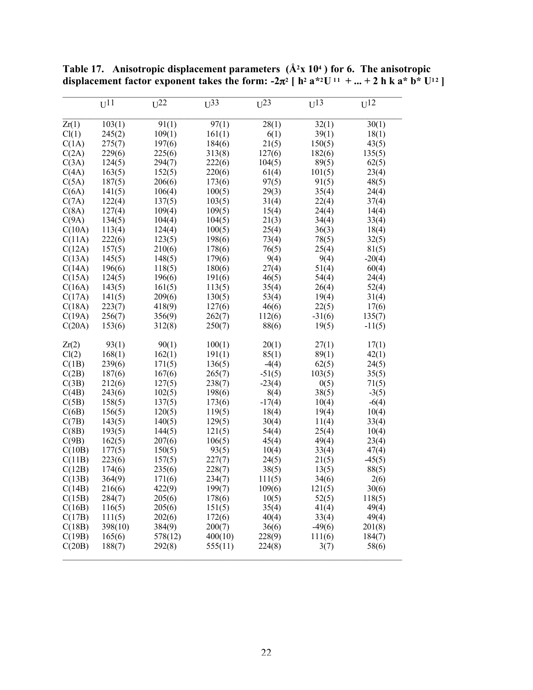|        | $U^{11}$ | $U^{22}$ | $U^{33}$ | $U^{23}$ | $U^{13}$ | $U^{12}$ |
|--------|----------|----------|----------|----------|----------|----------|
|        |          |          |          |          |          |          |
| Zr(1)  | 103(1)   | 91(1)    | 97(1)    | 28(1)    | 32(1)    | 30(1)    |
| Cl(1)  | 245(2)   | 109(1)   | 161(1)   | 6(1)     | 39(1)    | 18(1)    |
| C(1A)  | 275(7)   | 197(6)   | 184(6)   | 21(5)    | 150(5)   | 43(5)    |
| C(2A)  | 229(6)   | 225(6)   | 313(8)   | 127(6)   | 182(6)   | 135(5)   |
| C(3A)  | 124(5)   | 294(7)   | 222(6)   | 104(5)   | 89(5)    | 62(5)    |
| C(4A)  | 163(5)   | 152(5)   | 220(6)   | 61(4)    | 101(5)   | 23(4)    |
| C(5A)  | 187(5)   | 206(6)   | 173(6)   | 97(5)    | 91(5)    | 48(5)    |
| C(6A)  | 141(5)   | 106(4)   | 100(5)   | 29(3)    | 35(4)    | 24(4)    |
| C(7A)  | 122(4)   | 137(5)   | 103(5)   | 31(4)    | 22(4)    | 37(4)    |
| C(8A)  | 127(4)   | 109(4)   | 109(5)   | 15(4)    | 24(4)    | 14(4)    |
| C(9A)  | 134(5)   | 104(4)   | 104(5)   | 21(3)    | 34(4)    | 33(4)    |
| C(10A) | 113(4)   | 124(4)   | 100(5)   | 25(4)    | 36(3)    | 18(4)    |
| C(11A) | 222(6)   | 123(5)   | 198(6)   | 73(4)    | 78(5)    | 32(5)    |
| C(12A) | 157(5)   | 210(6)   | 178(6)   | 76(5)    | 25(4)    | 81(5)    |
| C(13A) | 145(5)   | 148(5)   | 179(6)   | 9(4)     | 9(4)     | $-20(4)$ |
| C(14A) | 196(6)   | 118(5)   | 180(6)   | 27(4)    | 51(4)    | 60(4)    |
| C(15A) | 124(5)   | 196(6)   | 191(6)   | 46(5)    | 54(4)    | 24(4)    |
| C(16A) | 143(5)   | 161(5)   | 113(5)   | 35(4)    | 26(4)    | 52(4)    |
| C(17A) | 141(5)   | 209(6)   | 130(5)   | 53(4)    | 19(4)    | 31(4)    |
| C(18A) | 223(7)   | 418(9)   | 127(6)   | 46(6)    | 22(5)    | 17(6)    |
| C(19A) | 256(7)   | 356(9)   | 262(7)   | 112(6)   | $-31(6)$ | 135(7)   |
| C(20A) | 153(6)   | 312(8)   | 250(7)   | 88(6)    | 19(5)    | $-11(5)$ |
|        |          |          |          |          |          |          |
| Zr(2)  | 93(1)    | 90(1)    | 100(1)   | 20(1)    | 27(1)    | 17(1)    |
| Cl(2)  | 168(1)   | 162(1)   | 191(1)   | 85(1)    | 89(1)    | 42(1)    |
| C(1B)  | 239(6)   | 171(5)   | 136(5)   | $-4(4)$  | 62(5)    | 24(5)    |
| C(2B)  | 187(6)   | 167(6)   | 265(7)   | $-51(5)$ | 103(5)   | 35(5)    |
| C(3B)  | 212(6)   | 127(5)   | 238(7)   | $-23(4)$ | 0(5)     | 71(5)    |
| C(4B)  | 243(6)   | 102(5)   | 198(6)   | 8(4)     | 38(5)    | $-3(5)$  |
| C(5B)  | 158(5)   | 137(5)   | 173(6)   | $-17(4)$ | 10(4)    | $-6(4)$  |
| C(6B)  | 156(5)   | 120(5)   | 119(5)   | 18(4)    | 19(4)    | 10(4)    |
| C(7B)  | 143(5)   | 140(5)   | 129(5)   | 30(4)    | 11(4)    | 33(4)    |
| C(8B)  | 193(5)   | 144(5)   | 121(5)   | 54(4)    | 25(4)    | 10(4)    |
| C(9B)  | 162(5)   | 207(6)   | 106(5)   | 45(4)    | 49(4)    | 23(4)    |
| C(10B) | 177(5)   | 150(5)   | 93(5)    | 10(4)    | 33(4)    | 47(4)    |
| C(11B) | 223(6)   | 157(5)   | 227(7)   | 24(5)    | 21(5)    | $-45(5)$ |
| C(12B) | 174(6)   | 235(6)   | 228(7)   | 38(5)    | 13(5)    | 88(5)    |
| C(13B) | 364(9)   | 171(6)   | 234(7)   | 111(5)   | 34(6)    | 2(6)     |
| C(14B) | 216(6)   | 422(9)   | 199(7)   | 109(6)   | 121(5)   | 30(6)    |
| C(15B) | 284(7)   | 205(6)   | 178(6)   | 10(5)    | 52(5)    | 118(5)   |
| C(16B) | 116(5)   | 205(6)   | 151(5)   | 35(4)    | 41(4)    | 49(4)    |
| C(17B) | 111(5)   | 202(6)   | 172(6)   | 40(4)    | 33(4)    | 49(4)    |
| C(18B) | 398(10)  | 384(9)   | 200(7)   | 36(6)    | $-49(6)$ | 201(8)   |
| C(19B) | 165(6)   | 578(12)  | 400(10)  | 228(9)   | 111(6)   | 184(7)   |
| C(20B) | 188(7)   | 292(8)   | 555(11)  | 224(8)   | 3(7)     | 58(6)    |
|        |          |          |          |          |          |          |

Table 17. Anisotropic displacement parameters  $(A<sup>2</sup>x 10<sup>4</sup>)$  for 6. The anisotropic displacement factor exponent takes the form:  $-2\pi^2$  [ h<sup>2</sup> a<sup>\*2</sup>U<sup>11</sup> + ... + 2 h k a<sup>\*</sup> b<sup>\*</sup> U<sup>12</sup>]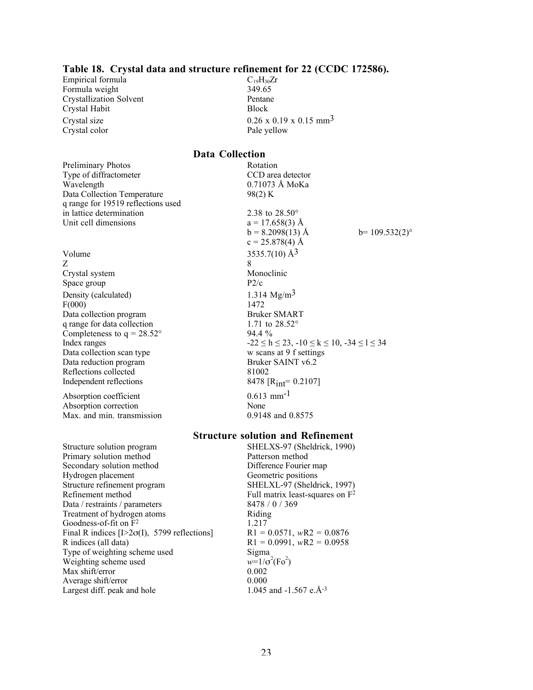#### Table 18. Crystal data and structure refinement for 22 (CCDC 172586).

Empirical formula<br>
Formula weight  $C_{19}H_{30}Zr$   $349.65$ Formula weight Crystallization Solvent Pentane Crystal Habit Block Crystal color Pale yellow

Crystal size  $0.26 \times 0.19 \times 0.15$  mm<sup>3</sup>

#### Data Collection

| Preliminary Photos<br>Type of diffractometer<br>Wavelength<br>Data Collection Temperature<br>q range for 19519 reflections used | Rotation<br>CCD area detector<br>0.71073 Å MoKa<br>98(2) K   |                  |
|---------------------------------------------------------------------------------------------------------------------------------|--------------------------------------------------------------|------------------|
| in lattice determination                                                                                                        | 2.38 to $28.50^{\circ}$                                      |                  |
| Unit cell dimensions                                                                                                            | $a = 17.658(3)$ Å                                            |                  |
|                                                                                                                                 | $b = 8.2098(13)$ Å                                           | $b=109.532(2)$ ° |
|                                                                                                                                 | $c = 25.878(4)$ Å                                            |                  |
| Volume                                                                                                                          | 3535.7(10) $\AA$ <sup>3</sup>                                |                  |
| Z                                                                                                                               | 8                                                            |                  |
| Crystal system                                                                                                                  | Monoclinic                                                   |                  |
| Space group                                                                                                                     | P2/c                                                         |                  |
| Density (calculated)                                                                                                            | 1.314 $Mg/m3$                                                |                  |
| F(000)                                                                                                                          | 1472                                                         |                  |
| Data collection program                                                                                                         | <b>Bruker SMART</b>                                          |                  |
| q range for data collection                                                                                                     | 1.71 to $28.52^{\circ}$                                      |                  |
| Completeness to $q = 28.52^{\circ}$                                                                                             | $94.4\%$                                                     |                  |
| Index ranges                                                                                                                    | $-22 \le h \le 23$ , $-10 \le k \le 10$ , $-34 \le l \le 34$ |                  |
| Data collection scan type                                                                                                       | w scans at 9 f settings                                      |                  |
| Data reduction program                                                                                                          | Bruker SAINT v6.2                                            |                  |
| Reflections collected                                                                                                           | 81002                                                        |                  |
| Independent reflections                                                                                                         | 8478 [ $R_{int}$ = 0.2107]                                   |                  |
| Absorption coefficient                                                                                                          | $0.613$ mm <sup>-1</sup>                                     |                  |
| Absorption correction                                                                                                           | None                                                         |                  |
| Max. and min. transmission                                                                                                      | 0.9148 and 0.8575                                            |                  |
|                                                                                                                                 |                                                              |                  |

#### Structure solution and Refinement

Structure solution program SHELXS-97 (Sheldrick, 1990)<br>Primary solution method Patterson method Primary solution method<br>
Secondary solution method<br>
Difference Fourier map Secondary solution method<br>
Hydrogen placement<br>
Geometric positions Hydrogen placement<br>
Structure refinement program
Geometric positions
SHELXL-97 (Sheldrick, 1997) Structure refinement program<br>Refinement method Data / restraints / parameters 8478 / 0 / 369<br>Treatment of hydrogen atoms Riding Treatment of hydrogen atoms  $\frac{1.217}{1.217}$ Goodness-of-fit on  $\overline{F^2}$ . Final R indices [I>2 $\sigma$ (I), 5799 reflections]<br>R indices (all data)<br>R1 = 0.0991, *w*R2 = 0.0958 Type of weighting scheme used Weighting scheme used *w*=1/σ<br>Max shift/error 0.002 Max shift/error 0.002<br>Average shift/error 0.000 Average shift/error 0.000<br>Largest diff. peak and hole 1.045 and -1.567 e.Å<sup>-3</sup> Largest diff. peak and hole

Full matrix least-squares on  $\bar{F}^2$  $R1 = 0.0991$ , *wR2* = 0.0958<br>Sigma  $(Fo^2)$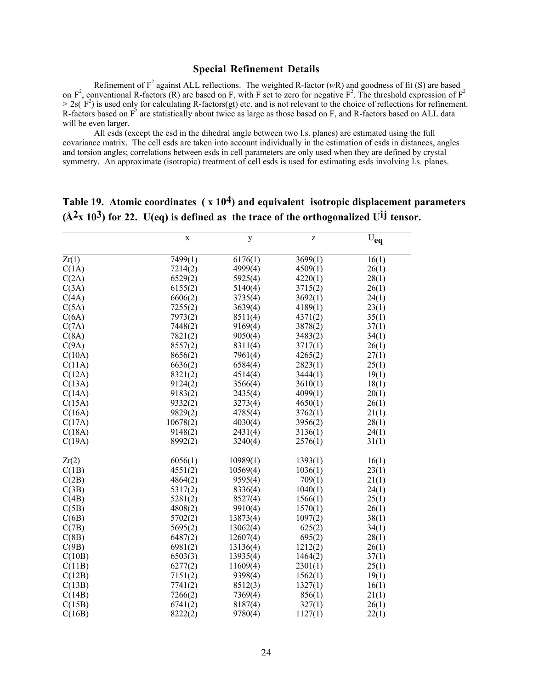#### Special Refinement Details

Refinement of  $F^2$  against ALL reflections. The weighted R-factor (*wR*) and goodness of fit (S) are based on  $F^2$ , conventional R-factors (R) are based on F, with F set to zero for negative  $F^2$ . The threshold expression of  $F^2$  $> 2s(F^2)$  is used only for calculating R-factors(gt) etc. and is not relevant to the choice of reflections for refinement. R-factors based on  $F<sup>2</sup>$  are statistically about twice as large as those based on F, and R-factors based on ALL data will be even larger.

All esds (except the esd in the dihedral angle between two l.s. planes) are estimated using the full covariance matrix. The cell esds are taken into account individually in the estimation of esds in distances, angles and torsion angles; correlations between esds in cell parameters are only used when they are defined by crystal symmetry. An approximate (isotropic) treatment of cell esds is used for estimating esds involving l.s. planes.

|        | $\mathbf X$ | y        | Z       | $\rm \overline{U}_{eq}$ |
|--------|-------------|----------|---------|-------------------------|
| Zr(1)  | 7499(1)     | 6176(1)  | 3699(1) | 16(1)                   |
| C(1A)  | 7214(2)     | 4999(4)  | 4509(1) | 26(1)                   |
| C(2A)  | 6529(2)     | 5925(4)  | 4220(1) | 28(1)                   |
| C(3A)  | 6155(2)     | 5140(4)  | 3715(2) | 26(1)                   |
| C(4A)  | 6606(2)     | 3735(4)  | 3692(1) | 24(1)                   |
| C(5A)  | 7255(2)     | 3639(4)  | 4189(1) | 23(1)                   |
| C(6A)  | 7973(2)     | 8511(4)  | 4371(2) | 35(1)                   |
| C(7A)  | 7448(2)     | 9169(4)  | 3878(2) | 37(1)                   |
| C(8A)  | 7821(2)     | 9050(4)  | 3483(2) | 34(1)                   |
| C(9A)  | 8557(2)     | 8311(4)  | 3717(1) | 26(1)                   |
| C(10A) | 8656(2)     | 7961(4)  | 4265(2) | 27(1)                   |
| C(11A) | 6636(2)     | 6584(4)  | 2823(1) | 25(1)                   |
| C(12A) | 8321(2)     | 4514(4)  | 3444(1) | 19(1)                   |
| C(13A) | 9124(2)     | 3566(4)  | 3610(1) | 18(1)                   |
| C(14A) | 9183(2)     | 2435(4)  | 4099(1) | 20(1)                   |
| C(15A) | 9332(2)     | 3273(4)  | 4650(1) | 26(1)                   |
| C(16A) | 9829(2)     | 4785(4)  | 3762(1) | 21(1)                   |
| C(17A) | 10678(2)    | 4030(4)  | 3956(2) | 28(1)                   |
| C(18A) | 9148(2)     | 2431(4)  | 3136(1) | 24(1)                   |
| C(19A) | 8992(2)     | 3240(4)  | 2576(1) | 31(1)                   |
| Zr(2)  | 6056(1)     | 10989(1) | 1393(1) | 16(1)                   |
| C(1B)  | 4551(2)     | 10569(4) | 1036(1) | 23(1)                   |
| C(2B)  | 4864(2)     | 9595(4)  | 709(1)  | 21(1)                   |
| C(3B)  | 5317(2)     | 8336(4)  | 1040(1) | 24(1)                   |
| C(4B)  | 5281(2)     | 8527(4)  | 1566(1) | 25(1)                   |
| C(5B)  | 4808(2)     | 9910(4)  | 1570(1) | 26(1)                   |
| C(6B)  | 5702(2)     | 13873(4) | 1097(2) | 38(1)                   |
| C(7B)  | 5695(2)     | 13062(4) | 625(2)  | 34(1)                   |
| C(8B)  | 6487(2)     | 12607(4) | 695(2)  | 28(1)                   |
| C(9B)  | 6981(2)     | 13136(4) | 1212(2) | 26(1)                   |
| C(10B) | 6503(3)     | 13935(4) | 1464(2) | 37(1)                   |
| C(11B) | 6277(2)     | 11609(4) | 2301(1) | 25(1)                   |
| C(12B) | 7151(2)     | 9398(4)  | 1562(1) | 19(1)                   |
| C(13B) | 7741(2)     | 8512(3)  | 1327(1) | 16(1)                   |
| C(14B) | 7266(2)     | 7369(4)  | 856(1)  | 21(1)                   |
| C(15B) | 6741(2)     | 8187(4)  | 327(1)  | 26(1)                   |
| C(16B) | 8222(2)     | 9780(4)  | 1127(1) | 22(1)                   |

# Table 19. Atomic coordinates  $(x 10<sup>4</sup>)$  and equivalent isotropic displacement parameters  $(\hat{A}^2 \times 10^3)$  for 22. U(eq) is defined as the trace of the orthogonalized U<sup>ij</sup> tensor.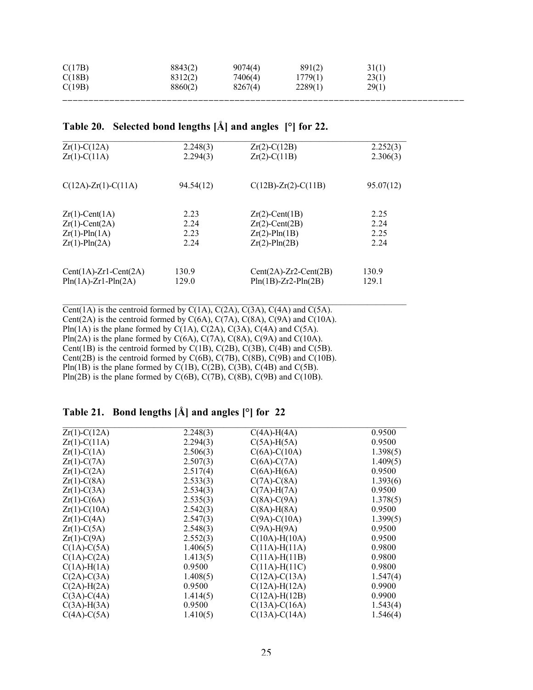| C(17B) | 8843(2) | 9074(4) | 891(2)  | 31(1) |
|--------|---------|---------|---------|-------|
| C(18B) | 8312(2) | 7406(4) | 1779(1) | 23(1) |
| C(19B) | 8860(2) | 8267(4) | 2289(1) | 29(1) |
|        |         |         |         |       |

## Table 20. Selected bond lengths [Å] and angles [°] for 22.

| $Zr(1)-C(12A)$                  | 2.248(3)  | $Zr(2)$ -C(12B)                 | 2.252(3)  |
|---------------------------------|-----------|---------------------------------|-----------|
| $Zr(1)-C(11A)$                  | 2.294(3)  | $Zr(2) - C(11B)$                | 2.306(3)  |
|                                 |           |                                 |           |
| $C(12A)$ - $Zr(1)$ - $C(11A)$   | 94.54(12) | $C(12B)$ - $Zr(2)$ - $C(11B)$   | 95.07(12) |
|                                 |           |                                 |           |
| $Zr(1)$ -Cent(1A)               | 2.23      | $Zr(2)$ -Cent(1B)               | 2.25      |
| $Zr(1)$ -Cent $(2A)$            | 2.24      | $Zr(2)$ -Cent $(2B)$            | 2.24      |
| $Zr(1)$ -Pln(1A)                | 2.23      | $Zr(2)$ -Pln $(1B)$             | 2.25      |
| $Zr(1)$ -Pln $(2A)$             | 2.24      | $Zr(2)$ -Pln $(2B)$             | 2.24      |
|                                 |           |                                 |           |
| $Cent(1A)$ - $Zr1$ - $Cent(2A)$ | 130.9     | $Cent(2A)$ - $Zr2$ - $Cent(2B)$ | 130.9     |
| $Pin(1A)$ - $Zr1$ - $Pln(2A)$   | 129.0     | $Pin(1B)$ -Zr2- $Pin(2B)$       | 129.1     |
|                                 |           |                                 |           |

 $\mathcal{L}_\text{max}$  , and the contribution of the contribution of the contribution of the contribution of the contribution of the contribution of the contribution of the contribution of the contribution of the contribution of t

Cent(1A) is the centroid formed by  $C(1A)$ ,  $C(2A)$ ,  $C(3A)$ ,  $C(4A)$  and  $C(5A)$ . Cent(2A) is the centroid formed by  $C(6A)$ ,  $C(7A)$ ,  $C(8A)$ ,  $C(9A)$  and  $C(10A)$ . Pln(1A) is the plane formed by  $C(1A)$ ,  $C(2A)$ ,  $C(3A)$ ,  $C(4A)$  and  $C(5A)$ . Pln(2A) is the plane formed by  $C(6A)$ ,  $C(7A)$ ,  $C(8A)$ ,  $C(9A)$  and  $C(10A)$ . Cent(1B) is the centroid formed by C(1B), C(2B), C(3B), C(4B) and C(5B). Cent(2B) is the centroid formed by  $C(6B)$ ,  $C(7B)$ ,  $C(8B)$ ,  $C(9B)$  and  $C(10B)$ . Pln(1B) is the plane formed by  $C(1B)$ ,  $C(2B)$ ,  $C(3B)$ ,  $C(4B)$  and  $C(5B)$ . Pln(2B) is the plane formed by  $C(6B)$ ,  $C(7B)$ ,  $C(8B)$ ,  $C(9B)$  and  $C(10B)$ .

### Table 21. Bond lengths [Å] and angles [°] for 22

| $Zr(1)-C(12A)$    | 2.248(3) | $C(4A)$ -H $(4A)$ | 0.9500   |
|-------------------|----------|-------------------|----------|
| $Zr(1)-C(11A)$    | 2.294(3) | $C(5A)$ -H $(5A)$ | 0.9500   |
| $Zr(1)-C(1A)$     | 2.506(3) | $C(6A) - C(10A)$  | 1.398(5) |
| $Zr(1)-C(7A)$     | 2.507(3) | $C(6A)-C(7A)$     | 1.409(5) |
| $Zr(1)-C(2A)$     | 2.517(4) | $C(6A)$ -H $(6A)$ | 0.9500   |
| $Zr(1)-C(8A)$     | 2.533(3) | $C(7A)-C(8A)$     | 1.393(6) |
| $Zr(1)-C(3A)$     | 2.534(3) | $C(7A)$ -H $(7A)$ | 0.9500   |
| $Zr(1)-C(6A)$     | 2.535(3) | $C(8A)-C(9A)$     | 1.378(5) |
| $Zr(1)-C(10A)$    | 2.542(3) | $C(8A)$ -H $(8A)$ | 0.9500   |
| $Zr(1)-C(4A)$     | 2.547(3) | $C(9A)-C(10A)$    | 1.399(5) |
| $Zr(1)-C(5A)$     | 2.548(3) | $C(9A)$ -H $(9A)$ | 0.9500   |
| $Zr(1)-C(9A)$     | 2.552(3) | $C(10A) - H(10A)$ | 0.9500   |
| $C(1A)-C(5A)$     | 1.406(5) | $C(11A) - H(11A)$ | 0.9800   |
| $C(1A)-C(2A)$     | 1.413(5) | $C(11A) - H(11B)$ | 0.9800   |
| $C(1A)$ -H $(1A)$ | 0.9500   | $C(11A) - H(11C)$ | 0.9800   |
| $C(2A)-C(3A)$     | 1.408(5) | $C(12A)-C(13A)$   | 1.547(4) |
| $C(2A)$ -H $(2A)$ | 0.9500   | $C(12A) - H(12A)$ | 0.9900   |
| $C(3A)-C(4A)$     | 1.414(5) | $C(12A) - H(12B)$ | 0.9900   |
| $C(3A)$ -H $(3A)$ | 0.9500   | $C(13A) - C(16A)$ | 1.543(4) |
| $C(4A)-C(5A)$     | 1.410(5) | $C(13A) - C(14A)$ | 1.546(4) |
|                   |          |                   |          |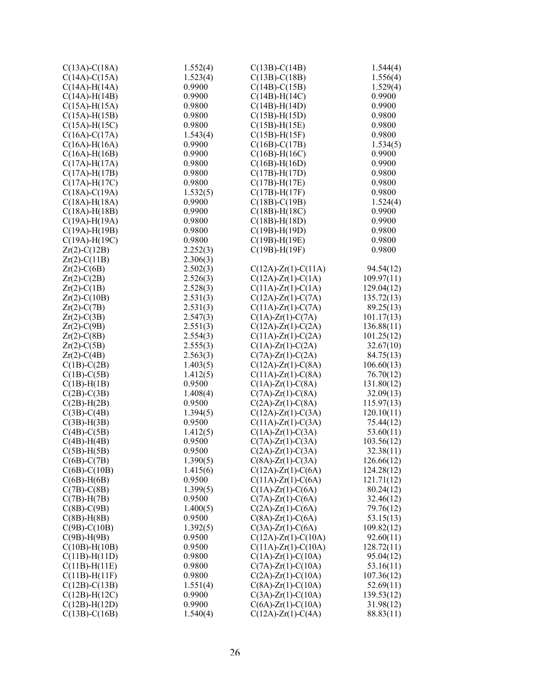| $C(13A) - C(18A)$                       | 1.552(4)         | $C(13B) - C(14B)$             | 1.544(4)                |
|-----------------------------------------|------------------|-------------------------------|-------------------------|
| $C(14A) - C(15A)$                       | 1.523(4)         | $C(13B) - C(18B)$             | 1.556(4)                |
| $C(14A) - H(14A)$                       | 0.9900           | $C(14B) - C(15B)$             | 1.529(4)                |
| $C(14A) - H(14B)$                       | 0.9900           | $C(14B) - H(14C)$             | 0.9900                  |
| $C(15A)$ -H $(15A)$                     | 0.9800           | $C(14B) - H(14D)$             | 0.9900                  |
| $C(15A) - H(15B)$                       | 0.9800           | $C(15B) - H(15D)$             | 0.9800                  |
| $C(15A) - H(15C)$                       | 0.9800           | $C(15B) - H(15E)$             | 0.9800                  |
| $C(16A) - C(17A)$                       | 1.543(4)         | $C(15B) - H(15F)$             | 0.9800                  |
| $C(16A) - H(16A)$                       | 0.9900           | $C(16B) - C(17B)$             | 1.534(5)                |
| $C(16A) - H(16B)$                       | 0.9900           | $C(16B) - H(16C)$             | 0.9900                  |
| $C(17A) - H(17A)$                       | 0.9800           | $C(16B)$ -H $(16D)$           | 0.9900                  |
| $C(17A) - H(17B)$                       | 0.9800           | $C(17B) - H(17D)$             | 0.9800                  |
| $C(17A) - H(17C)$                       | 0.9800           | $C(17B) - H(17E)$             | 0.9800                  |
| $C(18A) - C(19A)$                       | 1.532(5)         | $C(17B) - H(17F)$             | 0.9800                  |
| $C(18A) - H(18A)$                       | 0.9900           | $C(18B) - C(19B)$             | 1.524(4)                |
| $C(18A) - H(18B)$                       | 0.9900           | $C(18B) - H(18C)$             | 0.9900                  |
| $C(19A) - H(19A)$                       | 0.9800           | $C(18B) - H(18D)$             | 0.9900                  |
| $C(19A) - H(19B)$                       | 0.9800           | $C(19B) - H(19D)$             | 0.9800                  |
| $C(19A) - H(19C)$                       | 0.9800           | $C(19B) - H(19E)$             | 0.9800                  |
| $Zr(2)-C(12B)$                          | 2.252(3)         | $C(19B) - H(19F)$             | 0.9800                  |
| $Zr(2) - C(11B)$                        | 2.306(3)         |                               |                         |
| $Zr(2)-C(6B)$                           | 2.502(3)         | $C(12A)$ -Zr(1)-C(11A)        | 94.54(12)               |
| $Zr(2)-C(2B)$                           | 2.526(3)         | $C(12A)$ - $Zr(1)$ - $C(1A)$  | 109.97(11)              |
| $Zr(2)-C(1B)$                           | 2.528(3)         | $C(11A) - Zr(1) - C(1A)$      | 129.04(12)              |
| $Zr(2)$ -C(10B)                         | 2.531(3)         | $C(12A)$ -Zr(1)-C(7A)         | 135.72(13)              |
| $Zr(2)-C(7B)$                           | 2.531(3)         | $C(11A) - Zr(1) - C(7A)$      | 89.25(13)               |
| $Zr(2)-C(3B)$                           | 2.547(3)         | $C(1A) - Zr(1) - C(7A)$       | 101.17(13)              |
| $Zr(2)$ -C(9B)                          | 2.551(3)         | $C(12A) - Zr(1) - C(2A)$      | 136.88(11)              |
| $Zr(2)-C(8B)$                           | 2.554(3)         | $C(11A) - Zr(1) - C(2A)$      | 101.25(12)              |
| $Zr(2)-C(5B)$                           | 2.555(3)         | $C(1A) - Zr(1) - C(2A)$       | 32.67(10)               |
| $Zr(2)-C(4B)$                           | 2.563(3)         | $C(7A)$ -Zr(1)-C(2A)          | 84.75(13)               |
| $C(1B)-C(2B)$                           | 1.403(5)         | $C(12A) - Zr(1) - C(8A)$      | 106.60(13)              |
| $C(1B)-C(5B)$                           | 1.412(5)         | $C(11A) - Zr(1) - C(8A)$      | 76.70(12)               |
| $C(1B)$ -H $(1B)$                       | 0.9500           | $C(1A) - Zr(1) - C(8A)$       | 131.80(12)              |
| $C(2B)$ -C $(3B)$                       | 1.408(4)         | $C(7A)$ - $Zr(1)$ - $C(8A)$   | 32.09(13)               |
| $C(2B)$ -H $(2B)$                       | 0.9500           | $C(2A)$ -Zr(1)-C(8A)          | 115.97(13)              |
| $C(3B)$ -C(4B)                          | 1.394(5)         | $C(12A)$ - $Zr(1)$ - $C(3A)$  | 120.10(11)              |
| $C(3B)$ -H $(3B)$                       | 0.9500           | $C(11A) - Zr(1) - C(3A)$      | 75.44(12)               |
| $C(4B)$ - $C(5B)$                       | 1.412(5)         | $C(1A) - Zr(1) - C(3A)$       | 53.60(11)               |
| $C(4B)$ -H $(4B)$                       | 0.9500           | $C(7A)$ - $Zr(1)$ - $C(3A)$   | 103.56(12)              |
| $C(5B)$ -H $(5B)$                       | 0.9500           | $C(2A)$ -Zr(1)-C(3A)          | 32.38(11)               |
| $C(6B)$ -C(7B)                          | 1.390(5)         | $C(8A)$ -Zr(1)-C(3A)          | 126.66(12)              |
| $C(6B)$ - $C(10B)$                      | 1.415(6)         | $C(12A)$ -Zr(1)-C(6A)         | 124.28(12)              |
| $C(6B)$ -H $(6B)$                       | 0.9500           | $C(11A) - Zr(1) - C(6A)$      | 121.71(12)              |
| $C(7B)$ -C(8B)                          | 1.399(5)         | $C(1A)$ - $Zr(1)$ - $C(6A)$   | 80.24(12)               |
| $C(7B)$ -H $(7B)$                       | 0.9500           | $C(7A)$ -Zr(1)-C(6A)          | 32.46(12)               |
| $C(8B)-C(9B)$                           | 1.400(5)         | $C(2A)$ -Zr(1)-C(6A)          | 79.76(12)               |
|                                         | 0.9500           | $C(8A)$ -Zr(1)-C(6A)          |                         |
| $C(8B)$ -H $(8B)$<br>$C(9B)$ - $C(10B)$ | 1.392(5)         | $C(3A)$ -Zr(1)-C(6A)          | 53.15(13)<br>109.82(12) |
| $C(9B)$ -H $(9B)$                       | 0.9500           | $C(12A)$ -Zr(1)-C(10A)        | 92.60(11)               |
|                                         |                  |                               |                         |
| $C(10B) - H(10B)$                       | 0.9500<br>0.9800 | $C(11A)$ - $Zr(1)$ - $C(10A)$ | 128.72(11)              |
| $C(11B) - H(11D)$                       |                  | $C(1A)$ -Zr(1)-C(10A)         | 95.04(12)               |
| $C(11B) - H(11E)$                       | 0.9800           | $C(7A)$ -Zr(1)-C(10A)         | 53.16(11)               |
| $C(11B) - H(11F)$                       | 0.9800           | $C(2A)$ -Zr(1)-C(10A)         | 107.36(12)              |
| $C(12B) - C(13B)$                       | 1.551(4)         | $C(8A)$ -Zr(1)-C(10A)         | 52.69(11)               |
| $C(12B) - H(12C)$                       | 0.9900           | $C(3A)$ -Zr(1)-C(10A)         | 139.53(12)              |
| $C(12B) - H(12D)$                       | 0.9900           | $C(6A)$ -Zr(1)-C(10A)         | 31.98(12)               |
| $C(13B) - C(16B)$                       | 1.540(4)         | $C(12A)$ -Zr(1)-C(4A)         | 88.83(11)               |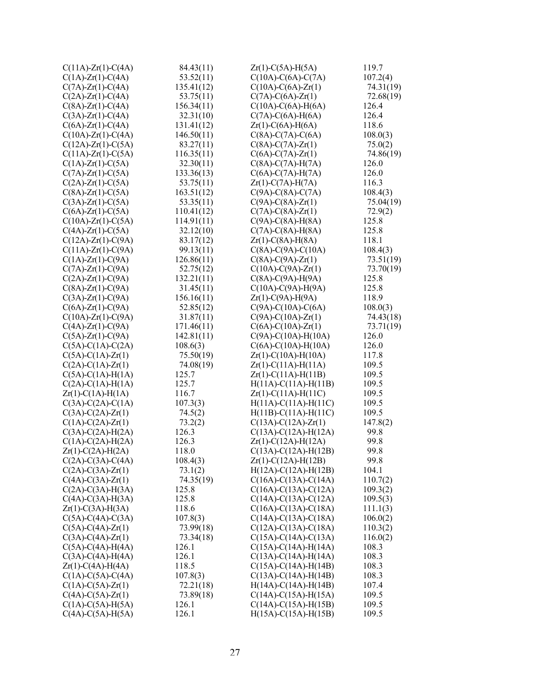| $C(11A) - Zr(1) - C(4A)$    | 84.43(11)  | $Zr(1)$ -C(5A)-H(5A)       | 119.7     |
|-----------------------------|------------|----------------------------|-----------|
| $C(1A)$ -Zr(1)-C(4A)        | 53.52(11)  | $C(10A)-C(6A)-C(7A)$       | 107.2(4)  |
| $C(7A)$ -Zr(1)-C(4A)        | 135.41(12) | $C(10A) - C(6A) - Zr(1)$   | 74.31(19) |
| $C(2A)$ -Zr(1)-C(4A)        | 53.75(11)  | $C(7A) - C(6A) - Zr(1)$    | 72.68(19) |
| $C(8A)$ -Zr(1)-C(4A)        | 156.34(11) | $C(10A)-C(6A)-H(6A)$       | 126.4     |
| $C(3A)$ -Zr(1)-C(4A)        | 32.31(10)  | $C(7A)-C(6A)-H(6A)$        | 126.4     |
| $C(6A)$ -Zr(1)-C(4A)        | 131.41(12) | $Zr(1)$ -C(6A)-H(6A)       | 118.6     |
| $C(10A)$ -Zr(1)-C(4A)       | 146.50(11) | $C(8A)-C(7A)-C(6A)$        | 108.0(3)  |
| $C(12A)$ -Zr(1)-C(5A)       | 83.27(11)  | $C(8A)-C(7A)-Zr(1)$        | 75.0(2)   |
| $C(11A) - Zr(1) - C(5A)$    | 116.35(11) | $C(6A) - C(7A) - Zr(1)$    | 74.86(19) |
| $C(1A)$ - $Zr(1)$ - $C(5A)$ | 32.30(11)  | $C(8A)-C(7A)-H(7A)$        | 126.0     |
| $C(7A)$ -Zr(1)-C(5A)        | 133.36(13) | $C(6A)-C(7A)-H(7A)$        | 126.0     |
| $C(2A)$ -Zr(1)-C(5A)        | 53.75(11)  | $Zr(1) - C(7A) - H(7A)$    | 116.3     |
| $C(8A)$ -Zr(1)-C(5A)        | 163.51(12) | $C(9A)-C(8A)-C(7A)$        | 108.4(3)  |
| $C(3A)$ -Zr(1)-C(5A)        | 53.35(11)  | $C(9A) - C(8A) - Zr(1)$    | 75.04(19) |
| $C(6A)$ -Zr(1)-C(5A)        | 110.41(12) | $C(7A) - C(8A) - Zr(1)$    | 72.9(2)   |
| $C(10A)$ -Zr(1)-C(5A)       | 114.91(11) | $C(9A)-C(8A)-H(8A)$        | 125.8     |
| $C(4A)$ -Zr(1)-C(5A)        | 32.12(10)  | $C(7A)-C(8A)-H(8A)$        | 125.8     |
| $C(12A) - Zr(1) - C(9A)$    | 83.17(12)  | $Zr(1) - C(8A) - H(8A)$    | 118.1     |
| $C(11A) - Zr(1) - C(9A)$    | 99.13(11)  | $C(8A)-C(9A)-C(10A)$       | 108.4(3)  |
| $C(1A) - Zr(1) - C(9A)$     | 126.86(11) | $C(8A)-C(9A)-Zr(1)$        | 73.51(19) |
| $C(7A)$ - $Zr(1)$ - $C(9A)$ | 52.75(12)  | $C(10A) - C(9A) - Zr(1)$   | 73.70(19) |
| $C(2A)$ -Zr(1)-C(9A)        | 132.21(11) | $C(8A)-C(9A)-H(9A)$        | 125.8     |
| $C(8A)$ -Zr(1)-C(9A)        | 31.45(11)  | $C(10A)-C(9A)-H(9A)$       | 125.8     |
| $C(3A)$ -Zr(1)-C(9A)        | 156.16(11) | $Zr(1)-C(9A)-H(9A)$        | 118.9     |
| $C(6A)$ -Zr(1)-C(9A)        | 52.85(12)  | $C(9A)-C(10A)-C(6A)$       | 108.0(3)  |
| $C(10A)$ -Zr(1)-C(9A)       | 31.87(11)  | $C(9A) - C(10A) - Zr(1)$   | 74.43(18) |
| $C(4A) - Zr(1) - C(9A)$     | 171.46(11) | $C(6A) - C(10A) - Zr(1)$   | 73.71(19) |
| $C(5A)$ -Zr(1)-C(9A)        | 142.81(11) | $C(9A)-C(10A)-H(10A)$      | 126.0     |
| $C(5A)-C(1A)-C(2A)$         | 108.6(3)   | $C(6A) - C(10A) - H(10A)$  | 126.0     |
| $C(5A) - C(1A) - Zr(1)$     | 75.50(19)  | $Zr(1)$ -C(10A)-H(10A)     | 117.8     |
| $C(2A) - C(1A) - Zr(1)$     | 74.08(19)  | $Zr(1)$ -C(11A)-H(11A)     | 109.5     |
| $C(5A)-C(1A)-H(1A)$         | 125.7      | $Zr(1) - C(11A) - H(11B)$  | 109.5     |
| $C(2A) - C(1A) - H(1A)$     | 125.7      | $H(11A)-C(11A)-H(11B)$     | 109.5     |
| $Zr(1) - C(1A) - H(1A)$     | 116.7      | $Zr(1)$ -C(11A)-H(11C)     | 109.5     |
| $C(3A) - C(2A) - C(1A)$     | 107.3(3)   | $H(11A)-C(11A)-H(11C)$     | 109.5     |
| $C(3A) - C(2A) - Zr(1)$     | 74.5(2)    | $H(11B) - C(11A) - H(11C)$ | 109.5     |
| $C(1A)-C(2A)-Zr(1)$         | 73.2(2)    | $C(13A) - C(12A) - Zr(1)$  | 147.8(2)  |
| $C(3A)-C(2A)-H(2A)$         | 126.3      | $C(13A)-C(12A)-H(12A)$     | 99.8      |
| $C(1A)-C(2A)-H(2A)$         | 126.3      | $Zr(1) - C(12A) - H(12A)$  | 99.8      |
| $Zr(1) - C(2A) - H(2A)$     | 118.0      | $C(13A) - C(12A) - H(12B)$ | 99.8      |
| $C(2A)$ -C(3A)-C(4A)        | 108.4(3)   | $Zr(1) - C(12A) - H(12B)$  | 99.8      |
| $C(2A) - C(3A) - Zr(1)$     | 73.1(2)    | $H(12A) - C(12A) - H(12B)$ | 104.1     |
| $C(4A) - C(3A) - Zr(1)$     | 74.35(19)  | $C(16A) - C(13A) - C(14A)$ | 110.7(2)  |
| $C(2A)-C(3A)-H(3A)$         | 125.8      | $C(16A) - C(13A) - C(12A)$ | 109.3(2)  |
| $C(4A) - C(3A) - H(3A)$     | 125.8      | $C(14A) - C(13A) - C(12A)$ | 109.5(3)  |
| $Zr(1) - C(3A) - H(3A)$     | 118.6      | $C(16A) - C(13A) - C(18A)$ | 111.1(3)  |
| $C(5A)$ -C(4A)-C(3A)        | 107.8(3)   | $C(14A) - C(13A) - C(18A)$ | 106.0(2)  |
| $C(5A) - C(4A) - Zr(1)$     | 73.99(18)  | $C(12A) - C(13A) - C(18A)$ | 110.3(2)  |
| $C(3A) - C(4A) - Zr(1)$     | 73.34(18)  | $C(15A) - C(14A) - C(13A)$ | 116.0(2)  |
| $C(5A)-C(4A)-H(4A)$         | 126.1      | $C(15A) - C(14A) - H(14A)$ | 108.3     |
| $C(3A)-C(4A)-H(4A)$         | 126.1      | $C(13A) - C(14A) - H(14A)$ | 108.3     |
| $Zr(1) - C(4A) - H(4A)$     | 118.5      | $C(15A) - C(14A) - H(14B)$ | 108.3     |
| $C(1A)-C(5A)-C(4A)$         | 107.8(3)   | $C(13A) - C(14A) - H(14B)$ | 108.3     |
| $C(1A)-C(5A)-Zr(1)$         | 72.21(18)  | $H(14A) - C(14A) - H(14B)$ | 107.4     |
| $C(4A)-C(5A)-Zr(1)$         | 73.89(18)  | $C(14A) - C(15A) - H(15A)$ | 109.5     |
| $C(1A)-C(5A)-H(5A)$         | 126.1      | $C(14A) - C(15A) - H(15B)$ | 109.5     |
| $C(4A)-C(5A)-H(5A)$         | 126.1      | $H(15A) - C(15A) - H(15B)$ | 109.5     |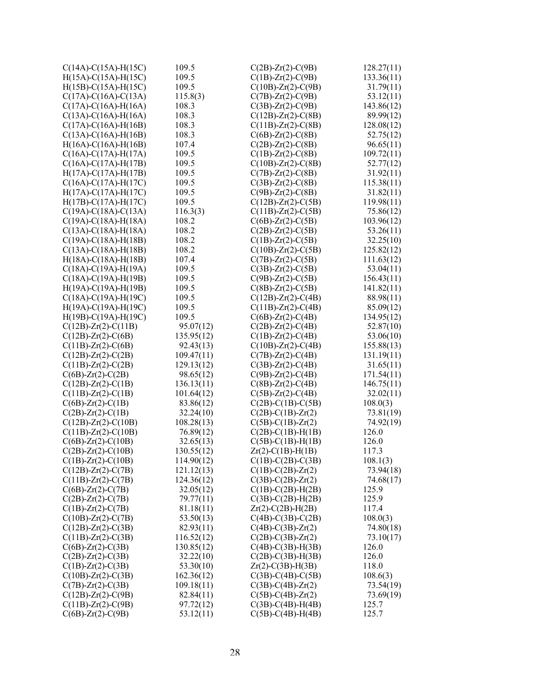| $C(14A) - C(15A) - H(15C)$   | 109.5      | $C(2B) - Zr(2) - C(9B)$                            | 128.27(11) |
|------------------------------|------------|----------------------------------------------------|------------|
| $H(15A)-C(15A)-H(15C)$       | 109.5      | $C(1B) - Zr(2) - C(9B)$                            | 133.36(11) |
| $H(15B) - C(15A) - H(15C)$   | 109.5      | $C(10B) - Zr(2) - C(9B)$                           | 31.79(11)  |
| $C(17A) - C(16A) - C(13A)$   | 115.8(3)   | $C(7B) - Zr(2) - C(9B)$                            | 53.12(11)  |
| $C(17A) - C(16A) - H(16A)$   | 108.3      | $C(3B) - Zr(2) - C(9B)$                            | 143.86(12) |
| $C(13A) - C(16A) - H(16A)$   | 108.3      | $C(12B) - Zr(2) - C(8B)$                           | 89.99(12)  |
| $C(17A) - C(16A) - H(16B)$   | 108.3      | $C(11B) - Zr(2) - C(8B)$                           | 128.08(12) |
| $C(13A)-C(16A)-H(16B)$       | 108.3      | $C(6B)$ -Zr(2)-C(8B)                               | 52.75(12)  |
| $H(16A) - C(16A) - H(16B)$   | 107.4      | $C(2B) - Zr(2) - C(8B)$                            | 96.65(11)  |
| $C(16A) - C(17A) - H(17A)$   | 109.5      | $C(1B) - Zr(2) - C(8B)$                            | 109.72(11) |
| $C(16A) - C(17A) - H(17B)$   | 109.5      | $C(10B)$ - $Zr(2)$ - $C(8B)$                       | 52.77(12)  |
| $H(17A) - C(17A) - H(17B)$   | 109.5      | $C(7B)$ -Zr(2)-C(8B)                               | 31.92(11)  |
| $C(16A) - C(17A) - H(17C)$   | 109.5      | $C(3B)$ -Zr(2)-C(8B)                               | 115.38(11) |
| $H(17A) - C(17A) - H(17C)$   | 109.5      | $C(9B)$ -Zr(2)-C(8B)                               | 31.82(11)  |
|                              | 109.5      |                                                    |            |
| $H(17B) - C(17A) - H(17C)$   |            | $C(12B)$ -Zr(2)-C(5B)                              | 119.98(11) |
| $C(19A) - C(18A) - C(13A)$   | 116.3(3)   | $C(11B) - Zr(2) - C(5B)$                           | 75.86(12)  |
| $C(19A) - C(18A) - H(18A)$   | 108.2      | $C(6B)$ - $Zr(2)$ - $C(5B)$                        | 103.96(12) |
| $C(13A) - C(18A) - H(18A)$   | 108.2      | $C(2B)$ -Zr(2)-C(5B)                               | 53.26(11)  |
| $C(19A) - C(18A) - H(18B)$   | 108.2      | $C(1B) - Zr(2) - C(5B)$                            | 32.25(10)  |
| $C(13A) - C(18A) - H(18B)$   | 108.2      | $C(10B) - Zr(2) - C(5B)$                           | 125.82(12) |
| $H(18A)-C(18A)-H(18B)$       | 107.4      | $C(7B)$ -Zr(2)-C(5B)                               | 111.63(12) |
| $C(18A) - C(19A) - H(19A)$   | 109.5      | $C(3B)$ -Zr(2)-C(5B)                               | 53.04(11)  |
| $C(18A) - C(19A) - H(19B)$   | 109.5      | $C(9B)$ -Zr(2)-C(5B)                               | 156.43(11) |
| H(19A)-C(19A)-H(19B)         | 109.5      | $C(8B)$ - $Zr(2)$ - $C(5B)$                        | 141.82(11) |
| $C(18A) - C(19A) - H(19C)$   | 109.5      | $C(12B)$ -Zr(2)-C(4B)                              | 88.98(11)  |
| H(19A)-C(19A)-H(19C)         | 109.5      | $C(11B) - Zr(2) - C(4B)$                           | 85.09(12)  |
| $H(19B) - C(19A) - H(19C)$   | 109.5      | $C(6B)$ -Zr(2)-C(4B)                               | 134.95(12) |
| $C(12B)$ -Zr(2)-C(11B)       | 95.07(12)  | $C(2B)$ - $Zr(2)$ - $C(4B)$                        | 52.87(10)  |
| $C(12B)$ - $Zr(2)$ - $C(6B)$ | 135.95(12) | $C(1B) - Zr(2) - C(4B)$                            | 53.06(10)  |
| $C(11B) - Zr(2) - C(6B)$     | 92.43(13)  | $C(10B) - Zr(2) - C(4B)$                           | 155.88(13) |
| $C(12B) - Zr(2) - C(2B)$     | 109.47(11) | $C(7B)$ -Zr(2)-C(4B)                               | 131.19(11) |
| $C(11B) - Zr(2) - C(2B)$     | 129.13(12) | $C(3B)$ -Zr(2)-C(4B)                               | 31.65(11)  |
| $C(6B)$ -Zr(2)-C(2B)         | 98.65(12)  | $C(9B)$ -Zr(2)-C(4B)                               | 171.54(11) |
| $C(12B) - Zr(2) - C(1B)$     | 136.13(11) | $C(8B)$ -Zr(2)-C(4B)                               | 146.75(11) |
| $C(11B) - Zr(2) - C(1B)$     | 101.64(12) | $C(5B)$ - $Zr(2)$ - $C(4B)$                        | 32.02(11)  |
| $C(6B)$ -Zr(2)-C(1B)         | 83.86(12)  |                                                    | 108.0(3)   |
|                              | 32.24(10)  | $C(2B) - C(1B) - C(5B)$<br>$C(2B) - C(1B) - Zr(2)$ |            |
| $C(2B)$ -Zr(2)-C(1B)         |            |                                                    | 73.81(19)  |
| $C(12B) - Zr(2) - C(10B)$    | 108.28(13) | $C(5B) - C(1B) - Zr(2)$                            | 74.92(19)  |
| $C(11B) - Zr(2) - C(10B)$    | 76.89(12)  | $C(2B) - C(1B) - H(1B)$                            | 126.0      |
| $C(6B)$ -Zr(2)-C(10B)        | 32.65(13)  | $C(5B) - C(1B) - H(1B)$                            | 126.0      |
| $C(2B)$ - $Zr(2)$ - $C(10B)$ | 130.55(12) | $Zr(2) - C(1B) - H(1B)$                            | 117.3      |
| $C(1B) - Zr(2) - C(10B)$     | 114.90(12) | $C(1B)-C(2B)-C(3B)$                                | 108.1(3)   |
| $C(12B) - Zr(2) - C(7B)$     | 121.12(13) | $C(1B) - C(2B) - Zr(2)$                            | 73.94(18)  |
| $C(11B) - Zr(2) - C(7B)$     | 124.36(12) | $C(3B)-C(2B)-Zr(2)$                                | 74.68(17)  |
| $C(6B)$ -Zr(2)-C(7B)         | 32.05(12)  | $C(1B)-C(2B)-H(2B)$                                | 125.9      |
| $C(2B)$ - $Zr(2)$ - $C(7B)$  | 79.77(11)  | $C(3B) - C(2B) - H(2B)$                            | 125.9      |
| $C(1B) - Zr(2) - C(7B)$      | 81.18(11)  | $Zr(2) - C(2B) - H(2B)$                            | 117.4      |
| $C(10B) - Zr(2) - C(7B)$     | 53.50(13)  | $C(4B) - C(3B) - C(2B)$                            | 108.0(3)   |
| $C(12B) - Zr(2) - C(3B)$     | 82.93(11)  | $C(4B) - C(3B) - Zr(2)$                            | 74.80(18)  |
| $C(11B) - Zr(2) - C(3B)$     | 116.52(12) | $C(2B) - C(3B) - Zr(2)$                            | 73.10(17)  |
| $C(6B) - Zr(2) - C(3B)$      | 130.85(12) | $C(4B) - C(3B) - H(3B)$                            | 126.0      |
| $C(2B) - Zr(2) - C(3B)$      | 32.22(10)  | $C(2B) - C(3B) - H(3B)$                            | 126.0      |
| $C(1B) - Zr(2) - C(3B)$      | 53.30(10)  | $Zr(2) - C(3B) - H(3B)$                            | 118.0      |
| $C(10B) - Zr(2) - C(3B)$     | 162.36(12) | $C(3B)$ -C(4B)-C(5B)                               | 108.6(3)   |
| $C(7B)$ -Zr(2)-C(3B)         | 109.18(11) | $C(3B) - C(4B) - Zr(2)$                            | 73.54(19)  |
| $C(12B) - Zr(2) - C(9B)$     | 82.84(11)  | $C(5B) - C(4B) - Zr(2)$                            | 73.69(19)  |
| $C(11B) - Zr(2) - C(9B)$     | 97.72(12)  | $C(3B) - C(4B) - H(4B)$                            | 125.7      |
| $C(6B)$ -Zr(2)-C(9B)         | 53.12(11)  | $C(5B)$ -C(4B)-H(4B)                               | 125.7      |
|                              |            |                                                    |            |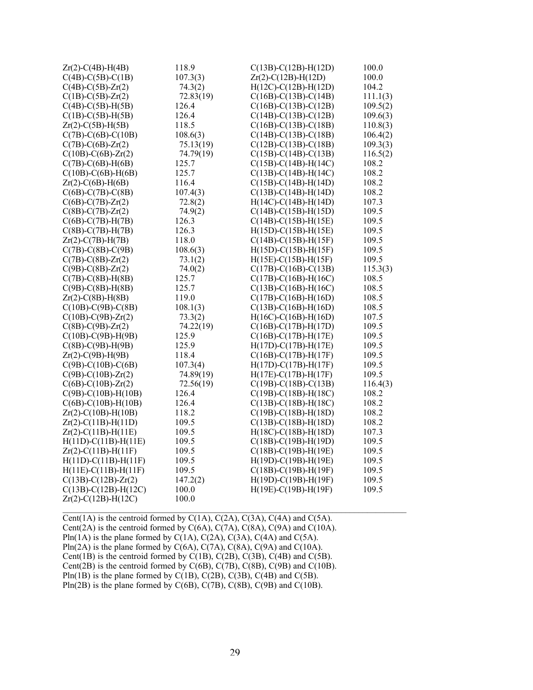| $Zr(2) - C(4B) - H(4B)$     | 118.9     | $C(13B) - C(12B) - H(12D)$ | 100.0    |
|-----------------------------|-----------|----------------------------|----------|
| $C(4B)$ -C(5B)-C(1B)        | 107.3(3)  | $Zr(2)-C(12B)-H(12D)$      | 100.0    |
| $C(4B)$ - $C(5B)$ - $Zr(2)$ | 74.3(2)   | $H(12C) - C(12B) - H(12D)$ | 104.2    |
| $C(1B)-C(5B)-Zr(2)$         | 72.83(19) | $C(16B) - C(13B) - C(14B)$ | 111.1(3) |
| $C(4B)$ - $C(5B)$ -H $(5B)$ | 126.4     | $C(16B) - C(13B) - C(12B)$ | 109.5(2) |
| $C(1B)-C(5B)-H(5B)$         | 126.4     | $C(14B) - C(13B) - C(12B)$ | 109.6(3) |
| $Zr(2)$ -C(5B)-H(5B)        | 118.5     | $C(16B) - C(13B) - C(18B)$ | 110.8(3) |
| $C(7B) - C(6B) - C(10B)$    | 108.6(3)  | $C(14B) - C(13B) - C(18B)$ | 106.4(2) |
| $C(7B)$ - $C(6B)$ - $Zr(2)$ | 75.13(19) | $C(12B) - C(13B) - C(18B)$ | 109.3(3) |
| $C(10B) - C(6B) - Zr(2)$    | 74.79(19) | $C(15B) - C(14B) - C(13B)$ | 116.5(2) |
| $C(7B)-C(6B)-H(6B)$         | 125.7     | $C(15B) - C(14B) - H(14C)$ | 108.2    |
| $C(10B) - C(6B) - H(6B)$    | 125.7     | $C(13B) - C(14B) - H(14C)$ | 108.2    |
| $Zr(2)$ -C(6B)-H(6B)        | 116.4     | $C(15B) - C(14B) - H(14D)$ | 108.2    |
| $C(6B)$ -C(7B)-C(8B)        | 107.4(3)  | $C(13B) - C(14B) - H(14D)$ | 108.2    |
| $C(6B)$ - $C(7B)$ - $Zr(2)$ | 72.8(2)   | $H(14C) - C(14B) - H(14D)$ | 107.3    |
| $C(8B) - C(7B) - Zr(2)$     | 74.9(2)   | $C(14B) - C(15B) - H(15D)$ | 109.5    |
| $C(6B)-C(7B)-H(7B)$         | 126.3     | $C(14B) - C(15B) - H(15E)$ | 109.5    |
| $C(8B) - C(7B) - H(7B)$     | 126.3     | $H(15D) - C(15B) - H(15E)$ | 109.5    |
| $Zr(2) - C(7B) - H(7B)$     | 118.0     | $C(14B) - C(15B) - H(15F)$ | 109.5    |
| $C(7B)$ -C(8B)-C(9B)        | 108.6(3)  | $H(15D) - C(15B) - H(15F)$ | 109.5    |
| $C(7B) - C(8B) - Zr(2)$     | 73.1(2)   | $H(15E) - C(15B) - H(15F)$ | 109.5    |
| $C(9B)$ - $C(8B)$ - $Zr(2)$ | 74.0(2)   | $C(17B) - C(16B) - C(13B)$ | 115.3(3) |
| $C(7B)$ - $C(8B)$ - $H(8B)$ | 125.7     | $C(17B) - C(16B) - H(16C)$ | 108.5    |
| $C(9B) - C(8B) - H(8B)$     | 125.7     | $C(13B) - C(16B) - H(16C)$ | 108.5    |
| $Zr(2) - C(8B) - H(8B)$     | 119.0     | $C(17B) - C(16B) - H(16D)$ | 108.5    |
| $C(10B) - C(9B) - C(8B)$    | 108.1(3)  | $C(13B) - C(16B) - H(16D)$ | 108.5    |
| $C(10B) - C(9B) - Zr(2)$    | 73.3(2)   | $H(16C) - C(16B) - H(16D)$ | 107.5    |
| $C(8B)$ - $C(9B)$ - $Zr(2)$ | 74.22(19) | $C(16B) - C(17B) - H(17D)$ | 109.5    |
| $C(10B) - C(9B) - H(9B)$    | 125.9     | $C(16B) - C(17B) - H(17E)$ | 109.5    |
| $C(8B)-C(9B)-H(9B)$         | 125.9     | $H(17D) - C(17B) - H(17E)$ | 109.5    |
| $Zr(2)$ -C(9B)-H(9B)        | 118.4     | $C(16B) - C(17B) - H(17F)$ | 109.5    |
| $C(9B) - C(10B) - C(6B)$    | 107.3(4)  | $H(17D) - C(17B) - H(17F)$ | 109.5    |
| $C(9B) - C(10B) - Zr(2)$    | 74.89(19) | $H(17E) - C(17B) - H(17F)$ | 109.5    |
| $C(6B) - C(10B) - Zr(2)$    | 72.56(19) | $C(19B) - C(18B) - C(13B)$ | 116.4(3) |
| $C(9B) - C(10B) - H(10B)$   | 126.4     | $C(19B) - C(18B) - H(18C)$ | 108.2    |
| $C(6B) - C(10B) - H(10B)$   | 126.4     | $C(13B) - C(18B) - H(18C)$ | 108.2    |
| $Zr(2) - C(10B) - H(10B)$   | 118.2     | $C(19B) - C(18B) - H(18D)$ | 108.2    |
| $Zr(2) - C(11B) - H(11D)$   | 109.5     | $C(13B) - C(18B) - H(18D)$ | 108.2    |
| $Zr(2)-C(11B)-H(11E)$       | 109.5     | $H(18C) - C(18B) - H(18D)$ | 107.3    |
| $H(11D)-C(11B)-H(11E)$      | 109.5     | $C(18B) - C(19B) - H(19D)$ | 109.5    |
| $Zr(2) - C(11B) - H(11F)$   | 109.5     | C(18B)-C(19B)-H(19E)       | 109.5    |
| $H(11D)-C(11B)-H(11F)$      | 109.5     | H(19D)-C(19B)-H(19E)       | 109.5    |
| $H(11E) - C(11B) - H(11F)$  | 109.5     | $C(18B) - C(19B) - H(19F)$ | 109.5    |
| $C(13B) - C(12B) - Zr(2)$   | 147.2(2)  | $H(19D) - C(19B) - H(19F)$ | 109.5    |
| $C(13B) - C(12B) - H(12C)$  | 100.0     | H(19E)-C(19B)-H(19F)       | 109.5    |
| $Zr(2)$ -C(12B)-H(12C)      | 100.0     |                            |          |

Cent(1A) is the centroid formed by  $C(1A)$ ,  $C(2A)$ ,  $C(3A)$ ,  $C(4A)$  and  $C(5A)$ . Cent(2A) is the centroid formed by  $C(6A)$ ,  $C(7A)$ ,  $C(8A)$ ,  $C(9A)$  and  $C(10A)$ . Pln(1A) is the plane formed by  $C(1A)$ ,  $C(2A)$ ,  $C(3A)$ ,  $C(4A)$  and  $C(5A)$ . Pln(2A) is the plane formed by  $C(6A)$ ,  $C(7A)$ ,  $C(8A)$ ,  $C(9A)$  and  $C(10A)$ . Cent(1B) is the centroid formed by  $C(1B)$ ,  $C(2B)$ ,  $C(3B)$ ,  $C(4B)$  and  $C(5B)$ . Cent(2B) is the centroid formed by  $C(6B)$ ,  $C(7B)$ ,  $C(8B)$ ,  $C(9B)$  and  $C(10B)$ . Pln(1B) is the plane formed by C(1B), C(2B), C(3B), C(4B) and C(5B). Pln(2B) is the plane formed by  $C(6B)$ ,  $C(7B)$ ,  $C(8B)$ ,  $C(9B)$  and  $C(10B)$ .